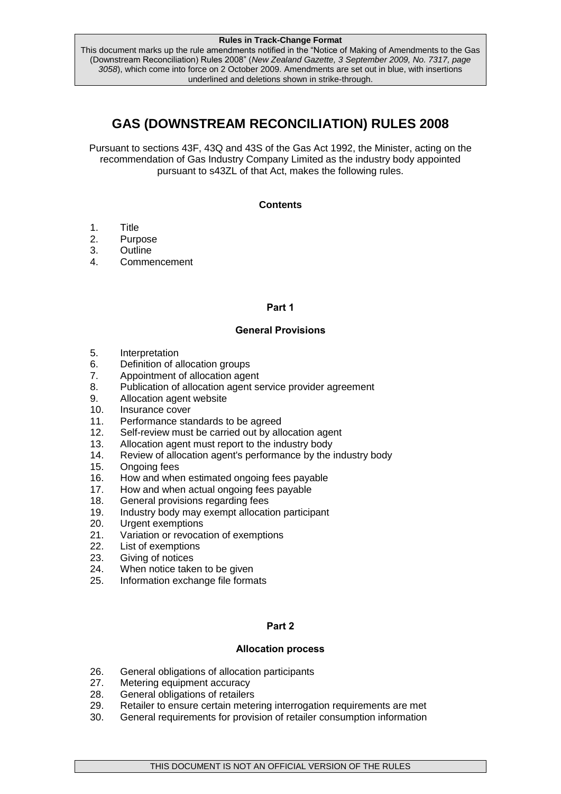#### **Rules in Track-Change Format**

This document marks up the rule amendments notified in the "Notice of Making of Amendments to the Gas (Downstream Reconciliation) Rules 2008" (*New Zealand Gazette, 3 September 2009, No. 7317, page 3058*), which come into force on 2 October 2009. Amendments are set out in blue, with insertions underlined and deletions shown in strike-through.

# **GAS (DOWNSTREAM RECONCILIATION) RULES 2008**

Pursuant to sections 43F, 43Q and 43S of the Gas Act 1992, the Minister, acting on the recommendation of Gas Industry Company Limited as the industry body appointed pursuant to s43ZL of that Act, makes the following rules.

### **Contents**

- 1. Title
- 2. Purpose
- 3. Outline
- 4. Commencement

### **Part 1**

### **General Provisions**

- 5. Interpretation
- 6. Definition of allocation groups
- 7. Appointment of allocation agent
- 8. Publication of allocation agent service provider agreement<br>9. Allocation agent website
- Allocation agent website
- 10. Insurance cover
- 11. Performance standards to be agreed
- 12. Self-review must be carried out by allocation agent
- 13. Allocation agent must report to the industry body
- 14. Review of allocation agent's performance by the industry body
- 15. Ongoing fees
- 16. How and when estimated ongoing fees payable
- 17. How and when actual ongoing fees payable
- 18. General provisions regarding fees<br>19. Industry body may exempt allocati
- Industry body may exempt allocation participant
- 20. Urgent exemptions
- 21. Variation or revocation of exemptions
- 22. List of exemptions
- 23. Giving of notices
- 24. When notice taken to be given
- 25. Information exchange file formats

### **Part 2**

### **Allocation process**

- 26. General obligations of allocation participants
- 27. Metering equipment accuracy
- 28. General obligations of retailers
- 29. Retailer to ensure certain metering interrogation requirements are met
- 30. General requirements for provision of retailer consumption information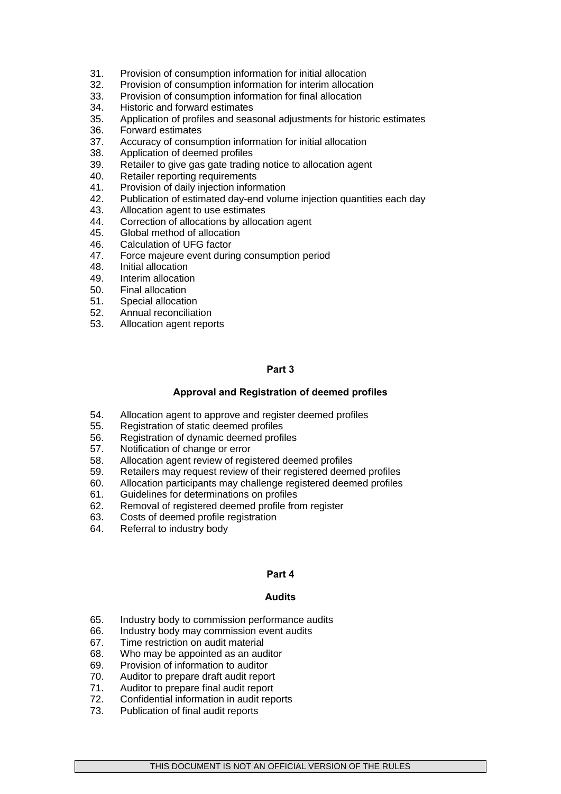- 31. Provision of consumption information for initial allocation
- 32. Provision of consumption information for interim allocation
- 33. Provision of consumption information for final allocation
- 34. Historic and forward estimates
- 35. Application of profiles and seasonal adjustments for historic estimates
- 36. Forward estimates<br>37. Accuracy of consul
- Accuracy of consumption information for initial allocation
- 38. Application of deemed profiles
- 39. Retailer to give gas gate trading notice to allocation agent
- Retailer reporting requirements
- 41. Provision of daily injection information
- 42. Publication of estimated day-end volume injection quantities each day
- 43. Allocation agent to use estimates<br>44. Correction of allocations by alloca
- Correction of allocations by allocation agent
- 45. Global method of allocation
- 46. Calculation of UFG factor
- 47. Force majeure event during consumption period
- 48. Initial allocation
- 49. Interim allocation<br>50. Final allocation
- Final allocation
- 51. Special allocation
- 52. Annual reconciliation
- 53. Allocation agent reports

# **Part 3**

#### **Approval and Registration of deemed profiles**

- 54. Allocation agent to approve and register deemed profiles
- 
- 55. Registration of static deemed profiles<br>56. Registration of dynamic deemed profil 56. Registration of dynamic deemed profiles<br>57. Notification of change or error
- Notification of change or error
- 58. Allocation agent review of registered deemed profiles<br>59. Retailers may request review of their registered deem
- 59. Retailers may request review of their registered deemed profiles<br>60. Allocation participants may challenge registered deemed profiles
- Allocation participants may challenge registered deemed profiles
- 61. Guidelines for determinations on profiles
- 62. Removal of registered deemed profile from register
- 63. Costs of deemed profile registration
- 64. Referral to industry body

#### **Part 4**

#### **Audits**

- 65. Industry body to commission performance audits
- 66. Industry body may commission event audits
- 67. Time restriction on audit material
- 68. Who may be appointed as an auditor
- 69. Provision of information to auditor
- 70. Auditor to prepare draft audit report
- 71. Auditor to prepare final audit report
- 72. Confidential information in audit reports
- 73. Publication of final audit reports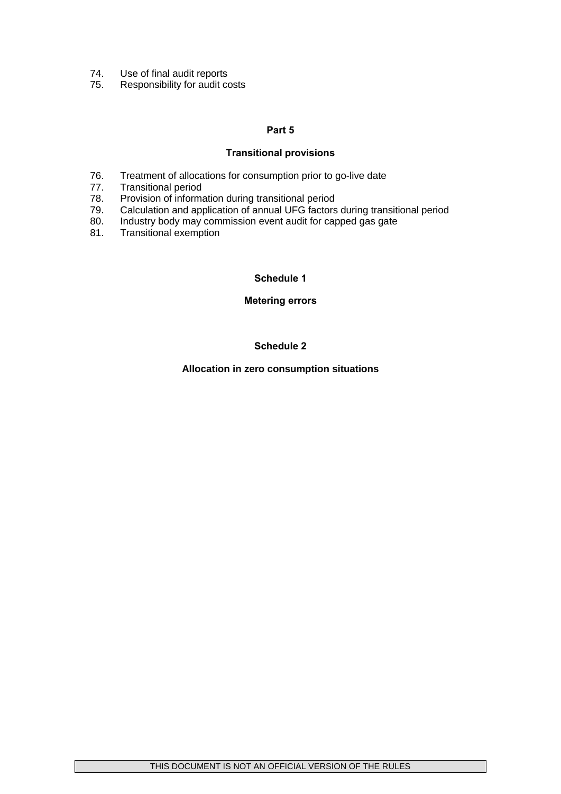- 74. Use of final audit reports<br>75. Responsibility for audit co
- Responsibility for audit costs

# **Part 5**

# **Transitional provisions**

- 76. Treatment of allocations for consumption prior to go-live date
- 77. Transitional period
- 78. Provision of information during transitional period<br>79. Calculation and application of annual UFG factors
- 79. Calculation and application of annual UFG factors during transitional period<br>80. Industry body may commission event audit for capped gas gate
- 80. Industry body may commission event audit for capped gas gate<br>81. Transitional exemption
- Transitional exemption

**Schedule 1**

### **Metering errors**

# **Schedule 2**

### **Allocation in zero consumption situations**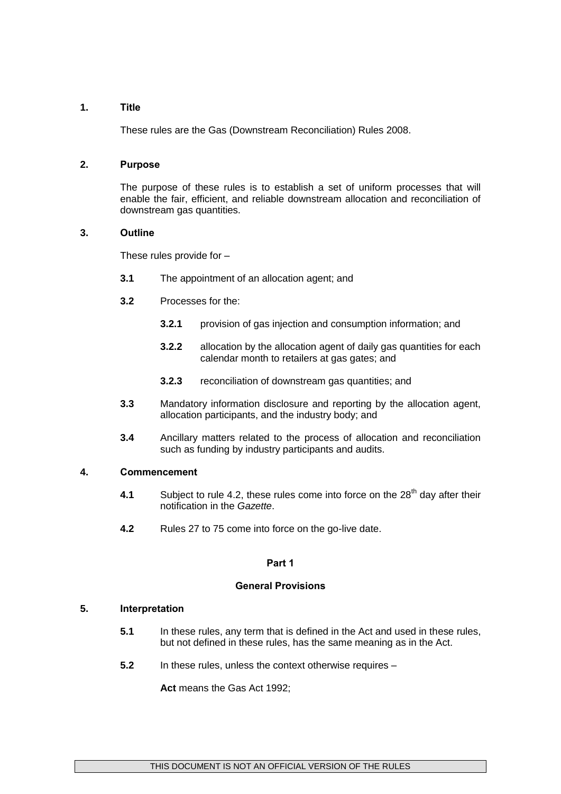### **1. Title**

These rules are the Gas (Downstream Reconciliation) Rules 2008.

### **2. Purpose**

The purpose of these rules is to establish a set of uniform processes that will enable the fair, efficient, and reliable downstream allocation and reconciliation of downstream gas quantities.

#### **3. Outline**

These rules provide for –

- **3.1** The appointment of an allocation agent; and
- **3.2** Processes for the:
	- **3.2.1** provision of gas injection and consumption information; and
	- **3.2.2** allocation by the allocation agent of daily gas quantities for each calendar month to retailers at gas gates; and
	- **3.2.3** reconciliation of downstream gas quantities; and
- **3.3** Mandatory information disclosure and reporting by the allocation agent, allocation participants, and the industry body; and
- **3.4** Ancillary matters related to the process of allocation and reconciliation such as funding by industry participants and audits.

# **4. Commencement**

- **4.1** Subject to rule 4.2, these rules come into force on the 28<sup>th</sup> day after their notification in the *Gazette*.
- **4.2** Rules 27 to 75 come into force on the go-live date.

# **Part 1**

#### **General Provisions**

#### **5. Interpretation**

- **5.1** In these rules, any term that is defined in the Act and used in these rules, but not defined in these rules, has the same meaning as in the Act.
- **5.2** In these rules, unless the context otherwise requires –

**Act** means the Gas Act 1992;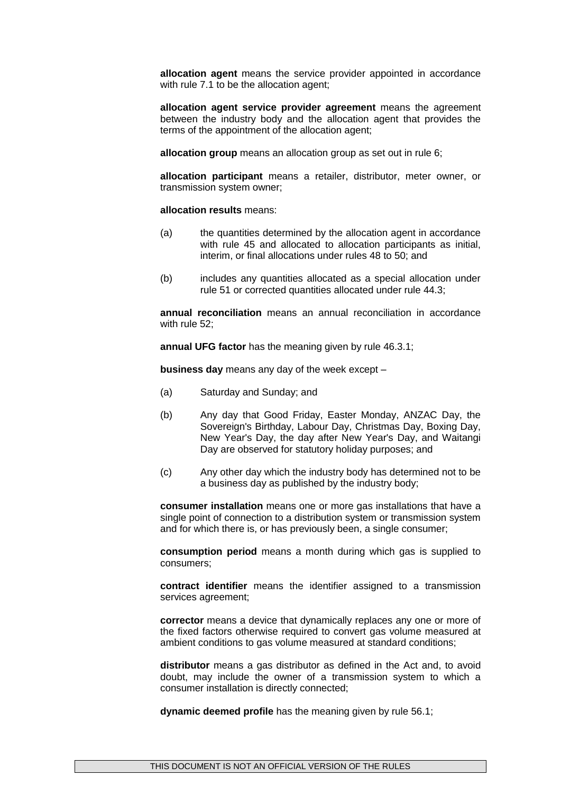**allocation agent** means the service provider appointed in accordance with rule 7.1 to be the allocation agent;

**allocation agent service provider agreement** means the agreement between the industry body and the allocation agent that provides the terms of the appointment of the allocation agent;

**allocation group** means an allocation group as set out in rule 6;

**allocation participant** means a retailer, distributor, meter owner, or transmission system owner;

#### **allocation results** means:

- (a) the quantities determined by the allocation agent in accordance with rule 45 and allocated to allocation participants as initial, interim, or final allocations under rules 48 to 50; and
- (b) includes any quantities allocated as a special allocation under rule 51 or corrected quantities allocated under rule 44.3;

**annual reconciliation** means an annual reconciliation in accordance with rule 52;

**annual UFG factor** has the meaning given by rule 46.3.1;

**business day** means any day of the week except –

- (a) Saturday and Sunday; and
- (b) Any day that Good Friday, Easter Monday, ANZAC Day, the Sovereign's Birthday, Labour Day, Christmas Day, Boxing Day, New Year's Day, the day after New Year's Day, and Waitangi Day are observed for statutory holiday purposes; and
- (c) Any other day which the industry body has determined not to be a business day as published by the industry body;

**consumer installation** means one or more gas installations that have a single point of connection to a distribution system or transmission system and for which there is, or has previously been, a single consumer;

**consumption period** means a month during which gas is supplied to consumers;

**contract identifier** means the identifier assigned to a transmission services agreement;

**corrector** means a device that dynamically replaces any one or more of the fixed factors otherwise required to convert gas volume measured at ambient conditions to gas volume measured at standard conditions;

**distributor** means a gas distributor as defined in the Act and, to avoid doubt, may include the owner of a transmission system to which a consumer installation is directly connected;

**dynamic deemed profile** has the meaning given by rule 56.1;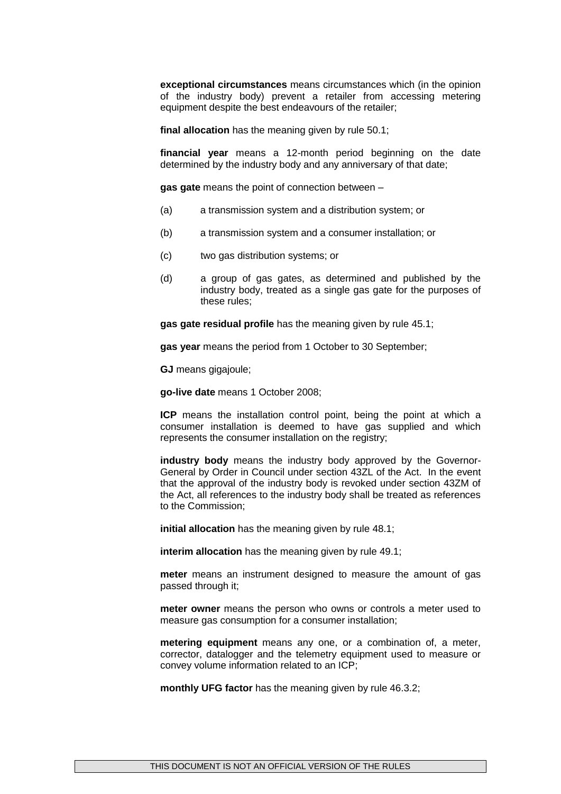**exceptional circumstances** means circumstances which (in the opinion of the industry body) prevent a retailer from accessing metering equipment despite the best endeavours of the retailer;

**final allocation** has the meaning given by rule 50.1;

**financial year** means a 12-month period beginning on the date determined by the industry body and any anniversary of that date;

**gas gate** means the point of connection between –

- (a) a transmission system and a distribution system; or
- (b) a transmission system and a consumer installation; or
- (c) two gas distribution systems; or
- (d) a group of gas gates, as determined and published by the industry body, treated as a single gas gate for the purposes of these rules;

**gas gate residual profile** has the meaning given by rule 45.1;

**gas year** means the period from 1 October to 30 September;

**GJ** means gigajoule;

**go-live date** means 1 October 2008;

**ICP** means the installation control point, being the point at which a consumer installation is deemed to have gas supplied and which represents the consumer installation on the registry;

**industry body** means the industry body approved by the Governor-General by Order in Council under section 43ZL of the Act. In the event that the approval of the industry body is revoked under section 43ZM of the Act, all references to the industry body shall be treated as references to the Commission;

**initial allocation** has the meaning given by rule 48.1;

**interim allocation** has the meaning given by rule 49.1;

**meter** means an instrument designed to measure the amount of gas passed through it;

**meter owner** means the person who owns or controls a meter used to measure gas consumption for a consumer installation;

**metering equipment** means any one, or a combination of, a meter, corrector, datalogger and the telemetry equipment used to measure or convey volume information related to an ICP;

**monthly UFG factor** has the meaning given by rule 46.3.2;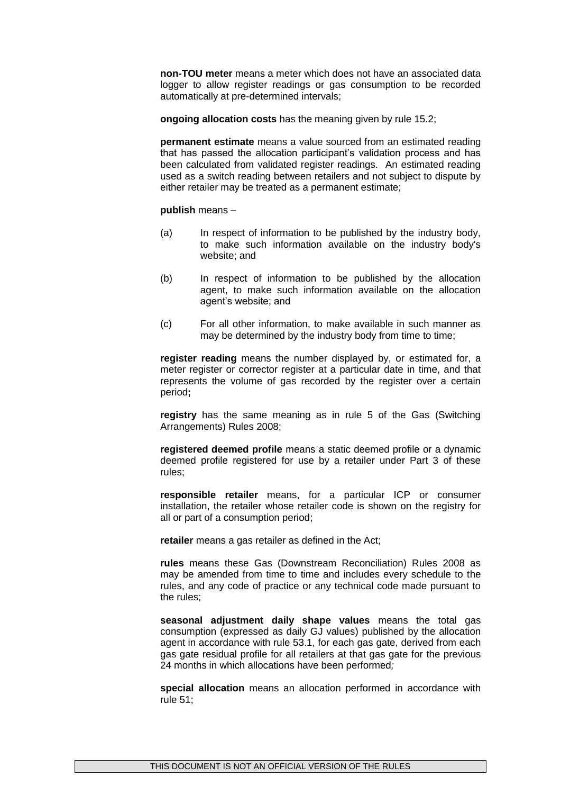**non-TOU meter** means a meter which does not have an associated data logger to allow register readings or gas consumption to be recorded automatically at pre-determined intervals;

**ongoing allocation costs** has the meaning given by rule 15.2;

**permanent estimate** means a value sourced from an estimated reading that has passed the allocation participant's validation process and has been calculated from validated register readings. An estimated reading used as a switch reading between retailers and not subject to dispute by either retailer may be treated as a permanent estimate;

**publish** means –

- (a) In respect of information to be published by the industry body, to make such information available on the industry body's website; and
- (b) In respect of information to be published by the allocation agent, to make such information available on the allocation agent's website; and
- (c) For all other information, to make available in such manner as may be determined by the industry body from time to time;

**register reading** means the number displayed by, or estimated for, a meter register or corrector register at a particular date in time, and that represents the volume of gas recorded by the register over a certain period**;**

**registry** has the same meaning as in rule 5 of the Gas (Switching Arrangements) Rules 2008;

**registered deemed profile** means a static deemed profile or a dynamic deemed profile registered for use by a retailer under Part 3 of these rules;

**responsible retailer** means, for a particular ICP or consumer installation, the retailer whose retailer code is shown on the registry for all or part of a consumption period;

**retailer** means a gas retailer as defined in the Act;

**rules** means these Gas (Downstream Reconciliation) Rules 2008 as may be amended from time to time and includes every schedule to the rules, and any code of practice or any technical code made pursuant to the rules;

**seasonal adjustment daily shape values** means the total gas consumption (expressed as daily GJ values) published by the allocation agent in accordance with rule 53.1, for each gas gate, derived from each gas gate residual profile for all retailers at that gas gate for the previous 24 months in which allocations have been performed*;*

**special allocation** means an allocation performed in accordance with rule 51;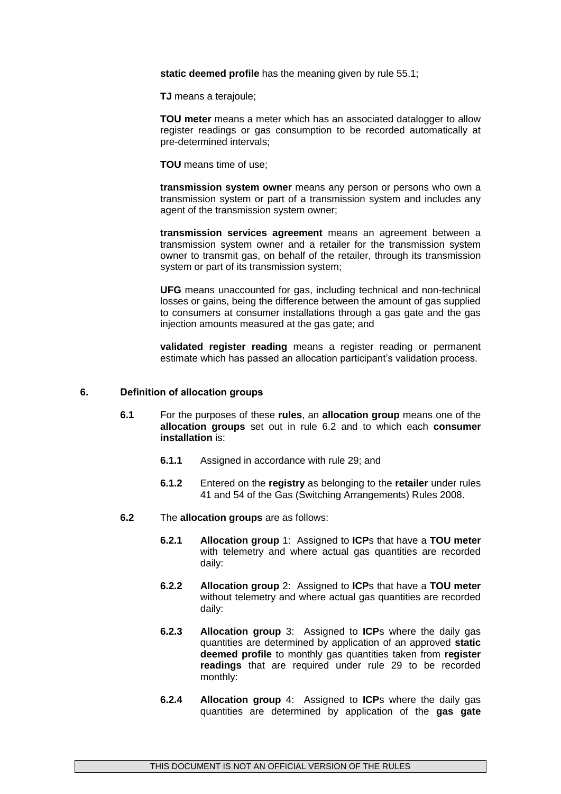**static deemed profile** has the meaning given by rule 55.1;

**TJ** means a terajoule;

**TOU meter** means a meter which has an associated datalogger to allow register readings or gas consumption to be recorded automatically at pre-determined intervals;

**TOU** means time of use;

**transmission system owner** means any person or persons who own a transmission system or part of a transmission system and includes any agent of the transmission system owner;

**transmission services agreement** means an agreement between a transmission system owner and a retailer for the transmission system owner to transmit gas, on behalf of the retailer, through its transmission system or part of its transmission system;

**UFG** means unaccounted for gas, including technical and non-technical losses or gains, being the difference between the amount of gas supplied to consumers at consumer installations through a gas gate and the gas injection amounts measured at the gas gate; and

**validated register reading** means a register reading or permanent estimate which has passed an allocation participant's validation process.

#### **6. Definition of allocation groups**

- **6.1** For the purposes of these **rules**, an **allocation group** means one of the **allocation groups** set out in rule 6.2 and to which each **consumer installation** is:
	- **6.1.1** Assigned in accordance with rule 29; and
	- **6.1.2** Entered on the **registry** as belonging to the **retailer** under rules 41 and 54 of the Gas (Switching Arrangements) Rules 2008.
- **6.2** The **allocation groups** are as follows:
	- **6.2.1 Allocation group** 1: Assigned to **ICP**s that have a **TOU meter** with telemetry and where actual gas quantities are recorded daily:
	- **6.2.2 Allocation group** 2: Assigned to **ICP**s that have a **TOU meter** without telemetry and where actual gas quantities are recorded daily:
	- **6.2.3 Allocation group** 3: Assigned to **ICP**s where the daily gas quantities are determined by application of an approved **static deemed profile** to monthly gas quantities taken from **register readings** that are required under rule 29 to be recorded monthly:
	- **6.2.4 Allocation group** 4: Assigned to **ICP**s where the daily gas quantities are determined by application of the **gas gate**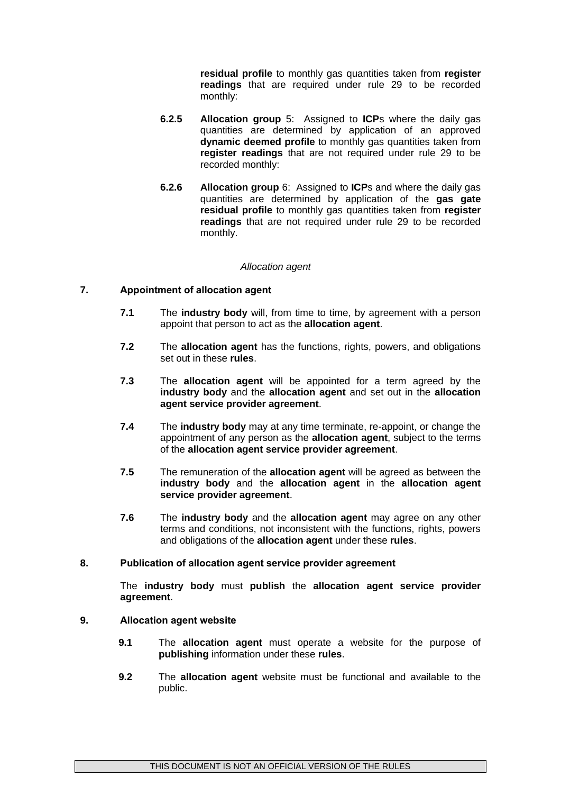**residual profile** to monthly gas quantities taken from **register readings** that are required under rule 29 to be recorded monthly:

- **6.2.5 Allocation group** 5: Assigned to **ICP**s where the daily gas quantities are determined by application of an approved **dynamic deemed profile** to monthly gas quantities taken from **register readings** that are not required under rule 29 to be recorded monthly:
- **6.2.6 Allocation group** 6: Assigned to **ICP**s and where the daily gas quantities are determined by application of the **gas gate residual profile** to monthly gas quantities taken from **register readings** that are not required under rule 29 to be recorded monthly.

#### *Allocation agent*

# **7. Appointment of allocation agent**

- **7.1** The **industry body** will, from time to time, by agreement with a person appoint that person to act as the **allocation agent**.
- **7.2** The **allocation agent** has the functions, rights, powers, and obligations set out in these **rules**.
- **7.3** The **allocation agent** will be appointed for a term agreed by the **industry body** and the **allocation agent** and set out in the **allocation agent service provider agreement**.
- **7.4** The **industry body** may at any time terminate, re-appoint, or change the appointment of any person as the **allocation agent**, subject to the terms of the **allocation agent service provider agreement**.
- **7.5** The remuneration of the **allocation agent** will be agreed as between the **industry body** and the **allocation agent** in the **allocation agent service provider agreement**.
- **7.6** The **industry body** and the **allocation agent** may agree on any other terms and conditions, not inconsistent with the functions, rights, powers and obligations of the **allocation agent** under these **rules**.

### **8. Publication of allocation agent service provider agreement**

The **industry body** must **publish** the **allocation agent service provider agreement**.

### **9. Allocation agent website**

- **9.1** The **allocation agent** must operate a website for the purpose of **publishing** information under these **rules**.
- **9.2** The **allocation agent** website must be functional and available to the public.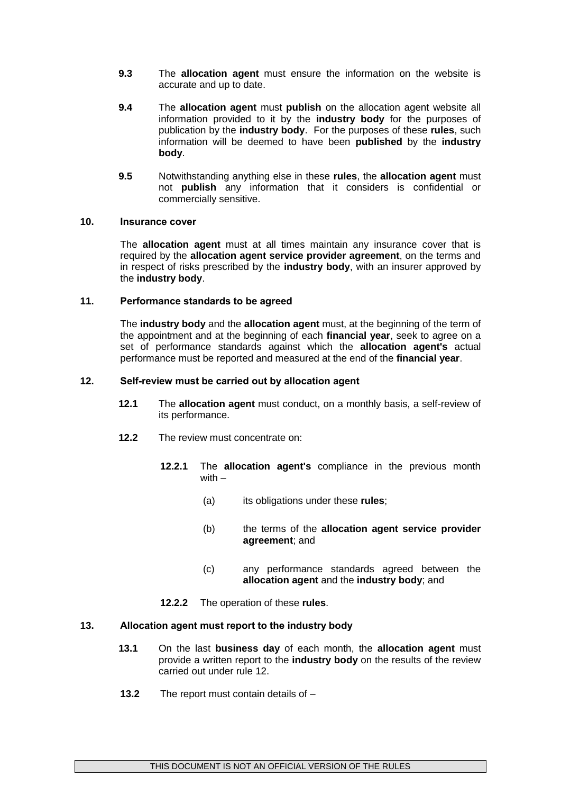- **9.3** The **allocation agent** must ensure the information on the website is accurate and up to date.
- **9.4** The **allocation agent** must **publish** on the allocation agent website all information provided to it by the **industry body** for the purposes of publication by the **industry body**. For the purposes of these **rules**, such information will be deemed to have been **published** by the **industry body**.
- **9.5** Notwithstanding anything else in these **rules**, the **allocation agent** must not **publish** any information that it considers is confidential or commercially sensitive.

#### **10. Insurance cover**

The **allocation agent** must at all times maintain any insurance cover that is required by the **allocation agent service provider agreement**, on the terms and in respect of risks prescribed by the **industry body**, with an insurer approved by the **industry body**.

#### **11. Performance standards to be agreed**

The **industry body** and the **allocation agent** must, at the beginning of the term of the appointment and at the beginning of each **financial year**, seek to agree on a set of performance standards against which the **allocation agent's** actual performance must be reported and measured at the end of the **financial year**.

#### **12. Self-review must be carried out by allocation agent**

- **12.1** The **allocation agent** must conduct, on a monthly basis, a self-review of its performance.
- **12.2** The review must concentrate on:
	- **12.2.1** The **allocation agent's** compliance in the previous month with –
		- (a) its obligations under these **rules**;
		- (b) the terms of the **allocation agent service provider agreement**; and
		- (c) any performance standards agreed between the **allocation agent** and the **industry body**; and
	- **12.2.2** The operation of these **rules**.

### **13. Allocation agent must report to the industry body**

- **13.1** On the last **business day** of each month, the **allocation agent** must provide a written report to the **industry body** on the results of the review carried out under rule 12.
- **13.2** The report must contain details of –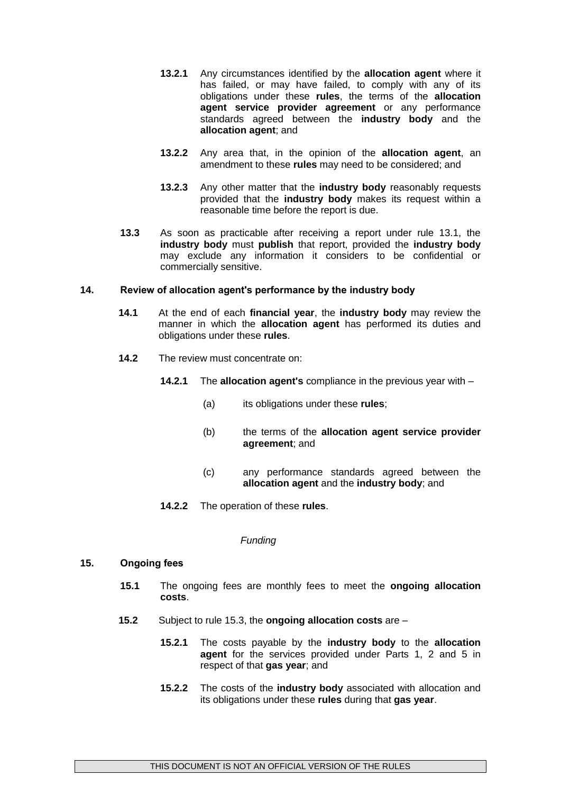- **13.2.1** Any circumstances identified by the **allocation agent** where it has failed, or may have failed, to comply with any of its obligations under these **rules**, the terms of the **allocation agent service provider agreement** or any performance standards agreed between the **industry body** and the **allocation agent**; and
- **13.2.2** Any area that, in the opinion of the **allocation agent**, an amendment to these **rules** may need to be considered; and
- **13.2.3** Any other matter that the **industry body** reasonably requests provided that the **industry body** makes its request within a reasonable time before the report is due.
- **13.3** As soon as practicable after receiving a report under rule 13.1, the **industry body** must **publish** that report, provided the **industry body** may exclude any information it considers to be confidential or commercially sensitive.

### **14. Review of allocation agent's performance by the industry body**

- **14.1** At the end of each **financial year**, the **industry body** may review the manner in which the **allocation agent** has performed its duties and obligations under these **rules**.
- **14.2** The review must concentrate on:
	- **14.2.1** The **allocation agent's** compliance in the previous year with
		- (a) its obligations under these **rules**;
		- (b) the terms of the **allocation agent service provider agreement**; and
		- (c) any performance standards agreed between the **allocation agent** and the **industry body**; and
	- **14.2.2** The operation of these **rules**.

#### *Funding*

### **15. Ongoing fees**

- **15.1** The ongoing fees are monthly fees to meet the **ongoing allocation costs**.
- **15.2** Subject to rule 15.3, the **ongoing allocation costs** are
	- **15.2.1** The costs payable by the **industry body** to the **allocation agent** for the services provided under Parts 1, 2 and 5 in respect of that **gas year**; and
	- **15.2.2** The costs of the **industry body** associated with allocation and its obligations under these **rules** during that **gas year**.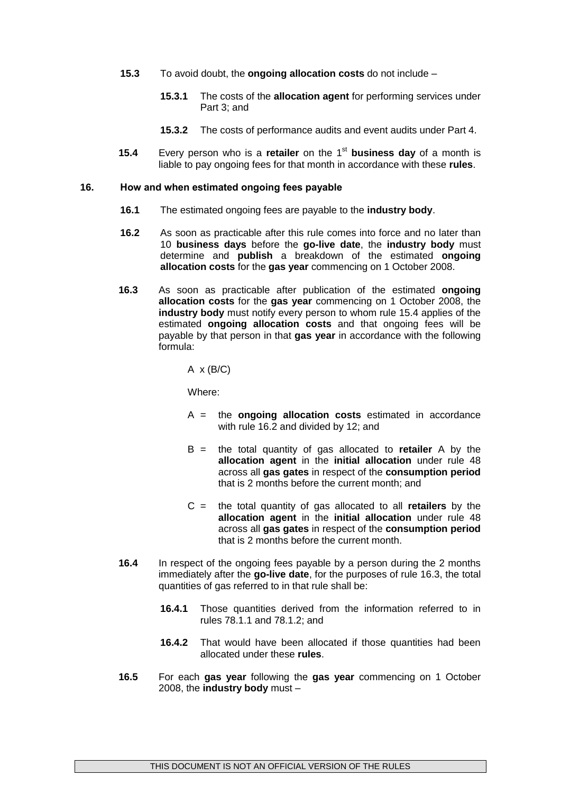- **15.3** To avoid doubt, the **ongoing allocation costs** do not include
	- **15.3.1** The costs of the **allocation agent** for performing services under Part 3; and
	- **15.3.2** The costs of performance audits and event audits under Part 4.
- **15.4** Every person who is a **retailer** on the 1<sup>st</sup> business day of a month is liable to pay ongoing fees for that month in accordance with these **rules**.

#### **16. How and when estimated ongoing fees payable**

- **16.1** The estimated ongoing fees are payable to the **industry body**.
- **16.2** As soon as practicable after this rule comes into force and no later than 10 **business days** before the **go-live date**, the **industry body** must determine and **publish** a breakdown of the estimated **ongoing allocation costs** for the **gas year** commencing on 1 October 2008.
- **16.3** As soon as practicable after publication of the estimated **ongoing allocation costs** for the **gas year** commencing on 1 October 2008, the **industry body** must notify every person to whom rule 15.4 applies of the estimated **ongoing allocation costs** and that ongoing fees will be payable by that person in that **gas year** in accordance with the following formula:

 $A \times (B/C)$ 

Where:

- A = the **ongoing allocation costs** estimated in accordance with rule 16.2 and divided by 12; and
- B = the total quantity of gas allocated to **retailer** A by the **allocation agent** in the **initial allocation** under rule 48 across all **gas gates** in respect of the **consumption period** that is 2 months before the current month; and
- C = the total quantity of gas allocated to all **retailers** by the **allocation agent** in the **initial allocation** under rule 48 across all **gas gates** in respect of the **consumption period** that is 2 months before the current month.
- **16.4** In respect of the ongoing fees payable by a person during the 2 months immediately after the **go-live date**, for the purposes of rule 16.3, the total quantities of gas referred to in that rule shall be:
	- **16.4.1** Those quantities derived from the information referred to in rules 78.1.1 and 78.1.2; and
	- **16.4.2** That would have been allocated if those quantities had been allocated under these **rules**.
- **16.5** For each **gas year** following the **gas year** commencing on 1 October 2008, the **industry body** must –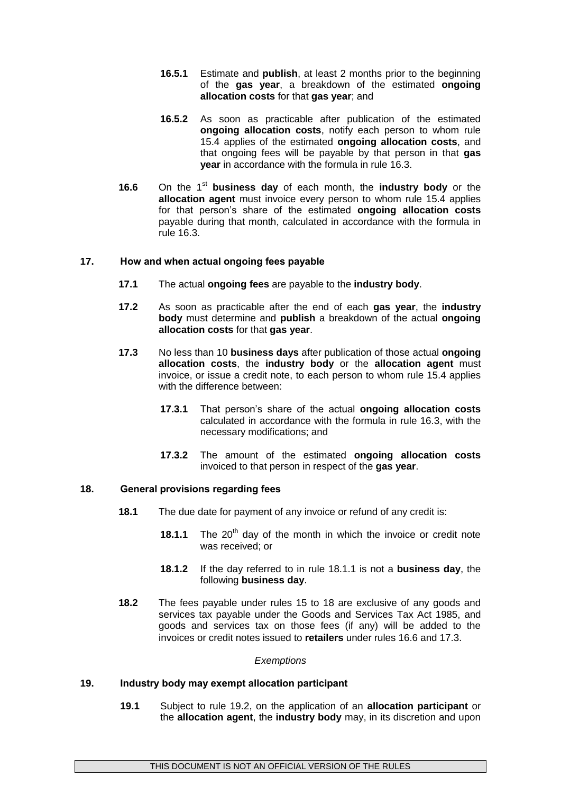- **16.5.1** Estimate and **publish**, at least 2 months prior to the beginning of the **gas year**, a breakdown of the estimated **ongoing allocation costs** for that **gas year**; and
- **16.5.2** As soon as practicable after publication of the estimated **ongoing allocation costs**, notify each person to whom rule 15.4 applies of the estimated **ongoing allocation costs**, and that ongoing fees will be payable by that person in that **gas year** in accordance with the formula in rule 16.3.
- **16.6** On the 1<sup>st</sup> business day of each month, the **industry body** or the **allocation agent** must invoice every person to whom rule 15.4 applies for that person's share of the estimated **ongoing allocation costs** payable during that month, calculated in accordance with the formula in rule 16.3.

# **17. How and when actual ongoing fees payable**

- **17.1** The actual **ongoing fees** are payable to the **industry body**.
- **17.2** As soon as practicable after the end of each **gas year**, the **industry body** must determine and **publish** a breakdown of the actual **ongoing allocation costs** for that **gas year**.
- **17.3** No less than 10 **business days** after publication of those actual **ongoing allocation costs**, the **industry body** or the **allocation agent** must invoice, or issue a credit note, to each person to whom rule 15.4 applies with the difference between:
	- **17.3.1** That person's share of the actual **ongoing allocation costs** calculated in accordance with the formula in rule 16.3, with the necessary modifications; and
	- **17.3.2** The amount of the estimated **ongoing allocation costs** invoiced to that person in respect of the **gas year**.

### **18. General provisions regarding fees**

- **18.1** The due date for payment of any invoice or refund of any credit is:
	- **18.1.1** The 20<sup>th</sup> day of the month in which the invoice or credit note was received; or
	- **18.1.2** If the day referred to in rule 18.1.1 is not a **business day**, the following **business day**.
- **18.2** The fees payable under rules 15 to 18 are exclusive of any goods and services tax payable under the Goods and Services Tax Act 1985, and goods and services tax on those fees (if any) will be added to the invoices or credit notes issued to **retailers** under rules 16.6 and 17.3.

#### *Exemptions*

### **19. Industry body may exempt allocation participant**

**19.1** Subject to rule 19.2, on the application of an **allocation participant** or the **allocation agent**, the **industry body** may, in its discretion and upon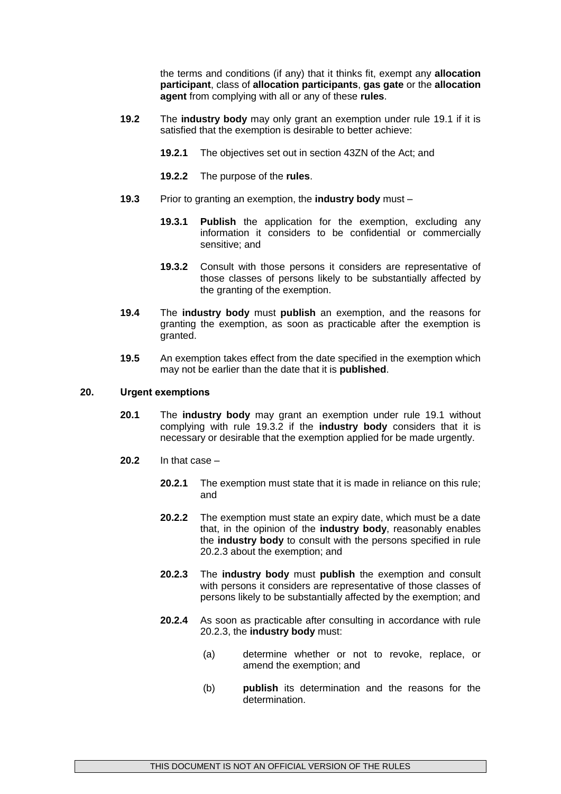the terms and conditions (if any) that it thinks fit, exempt any **allocation participant**, class of **allocation participants**, **gas gate** or the **allocation agent** from complying with all or any of these **rules**.

- **19.2** The **industry body** may only grant an exemption under rule 19.1 if it is satisfied that the exemption is desirable to better achieve:
	- **19.2.1** The objectives set out in section 43ZN of the Act; and
	- **19.2.2** The purpose of the **rules**.
- **19.3** Prior to granting an exemption, the **industry body** must
	- **19.3.1 Publish** the application for the exemption, excluding any information it considers to be confidential or commercially sensitive; and
	- **19.3.2** Consult with those persons it considers are representative of those classes of persons likely to be substantially affected by the granting of the exemption.
- **19.4** The **industry body** must **publish** an exemption, and the reasons for granting the exemption, as soon as practicable after the exemption is granted.
- **19.5** An exemption takes effect from the date specified in the exemption which may not be earlier than the date that it is **published**.

### **20. Urgent exemptions**

- **20.1** The **industry body** may grant an exemption under rule 19.1 without complying with rule 19.3.2 if the **industry body** considers that it is necessary or desirable that the exemption applied for be made urgently.
- **20.2** In that case
	- **20.2.1** The exemption must state that it is made in reliance on this rule; and
	- **20.2.2** The exemption must state an expiry date, which must be a date that, in the opinion of the **industry body**, reasonably enables the **industry body** to consult with the persons specified in rule 20.2.3 about the exemption; and
	- **20.2.3** The **industry body** must **publish** the exemption and consult with persons it considers are representative of those classes of persons likely to be substantially affected by the exemption; and
	- **20.2.4** As soon as practicable after consulting in accordance with rule 20.2.3, the **industry body** must:
		- (a) determine whether or not to revoke, replace, or amend the exemption; and
		- (b) **publish** its determination and the reasons for the determination.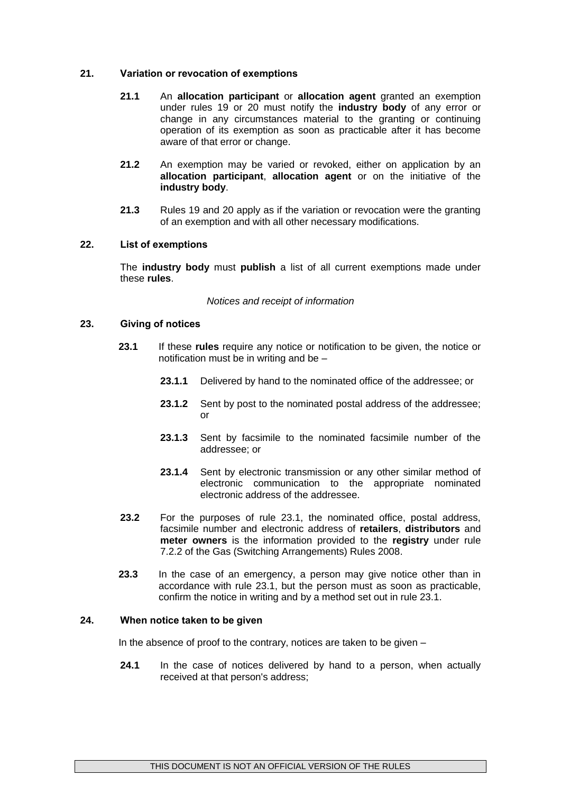### **21. Variation or revocation of exemptions**

- **21.1** An **allocation participant** or **allocation agent** granted an exemption under rules 19 or 20 must notify the **industry body** of any error or change in any circumstances material to the granting or continuing operation of its exemption as soon as practicable after it has become aware of that error or change.
- **21.2** An exemption may be varied or revoked, either on application by an **allocation participant**, **allocation agent** or on the initiative of the **industry body**.
- **21.3** Rules 19 and 20 apply as if the variation or revocation were the granting of an exemption and with all other necessary modifications.

# **22. List of exemptions**

The **industry body** must **publish** a list of all current exemptions made under these **rules**.

#### *Notices and receipt of information*

### **23. Giving of notices**

- **23.1** If these **rules** require any notice or notification to be given, the notice or notification must be in writing and be –
	- **23.1.1** Delivered by hand to the nominated office of the addressee; or
	- **23.1.2** Sent by post to the nominated postal address of the addressee; or
	- **23.1.3** Sent by facsimile to the nominated facsimile number of the addressee; or
	- **23.1.4** Sent by electronic transmission or any other similar method of electronic communication to the appropriate nominated electronic address of the addressee.
- **23.2** For the purposes of rule 23.1, the nominated office, postal address, facsimile number and electronic address of **retailers**, **distributors** and **meter owners** is the information provided to the **registry** under rule 7.2.2 of the Gas (Switching Arrangements) Rules 2008.
- **23.3** In the case of an emergency, a person may give notice other than in accordance with rule 23.1, but the person must as soon as practicable, confirm the notice in writing and by a method set out in rule 23.1.

# **24. When notice taken to be given**

In the absence of proof to the contrary, notices are taken to be given  $-$ 

**24.1** In the case of notices delivered by hand to a person, when actually received at that person's address;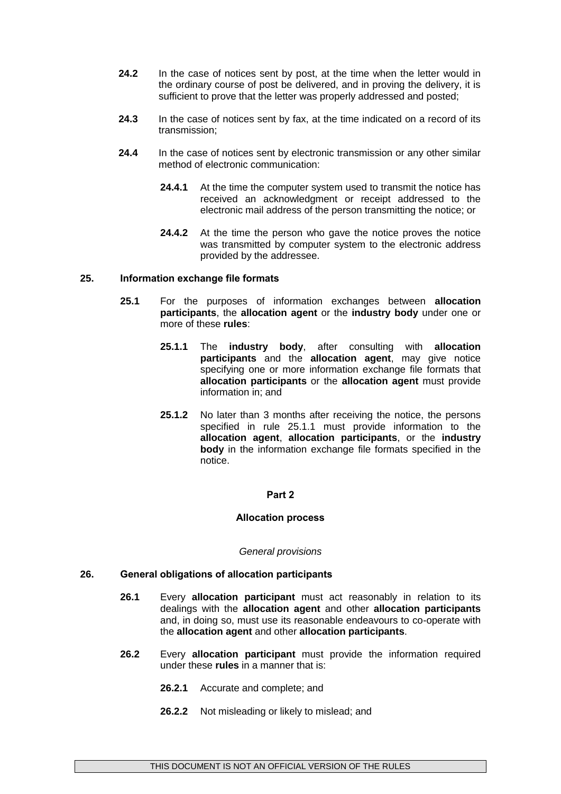- **24.2** In the case of notices sent by post, at the time when the letter would in the ordinary course of post be delivered, and in proving the delivery, it is sufficient to prove that the letter was properly addressed and posted;
- **24.3** In the case of notices sent by fax, at the time indicated on a record of its transmission;
- **24.4** In the case of notices sent by electronic transmission or any other similar method of electronic communication:
	- **24.4.1** At the time the computer system used to transmit the notice has received an acknowledgment or receipt addressed to the electronic mail address of the person transmitting the notice; or
	- **24.4.2** At the time the person who gave the notice proves the notice was transmitted by computer system to the electronic address provided by the addressee.

### **25. Information exchange file formats**

- **25.1** For the purposes of information exchanges between **allocation participants**, the **allocation agent** or the **industry body** under one or more of these **rules**:
	- **25.1.1** The **industry body**, after consulting with **allocation participants** and the **allocation agent**, may give notice specifying one or more information exchange file formats that **allocation participants** or the **allocation agent** must provide information in; and
	- **25.1.2** No later than 3 months after receiving the notice, the persons specified in rule 25.1.1 must provide information to the **allocation agent**, **allocation participants**, or the **industry body** in the information exchange file formats specified in the notice.

#### **Part 2**

#### **Allocation process**

#### *General provisions*

#### **26. General obligations of allocation participants**

- **26.1** Every **allocation participant** must act reasonably in relation to its dealings with the **allocation agent** and other **allocation participants** and, in doing so, must use its reasonable endeavours to co-operate with the **allocation agent** and other **allocation participants**.
- **26.2** Every **allocation participant** must provide the information required under these **rules** in a manner that is:
	- **26.2.1** Accurate and complete; and
	- **26.2.2** Not misleading or likely to mislead; and

#### THIS DOCUMENT IS NOT AN OFFICIAL VERSION OF THE RULES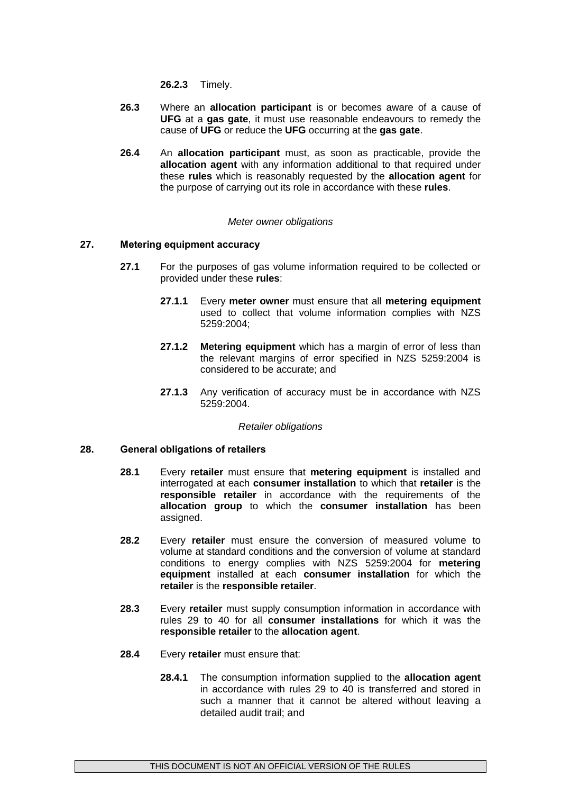**26.2.3** Timely.

- **26.3** Where an **allocation participant** is or becomes aware of a cause of **UFG** at a **gas gate**, it must use reasonable endeavours to remedy the cause of **UFG** or reduce the **UFG** occurring at the **gas gate**.
- **26.4** An **allocation participant** must, as soon as practicable, provide the **allocation agent** with any information additional to that required under these **rules** which is reasonably requested by the **allocation agent** for the purpose of carrying out its role in accordance with these **rules**.

#### *Meter owner obligations*

### **27. Metering equipment accuracy**

- **27.1** For the purposes of gas volume information required to be collected or provided under these **rules**:
	- **27.1.1** Every **meter owner** must ensure that all **metering equipment** used to collect that volume information complies with NZS 5259:2004;
	- **27.1.2 Metering equipment** which has a margin of error of less than the relevant margins of error specified in NZS 5259:2004 is considered to be accurate; and
	- **27.1.3** Any verification of accuracy must be in accordance with NZS 5259:2004.

#### *Retailer obligations*

# **28. General obligations of retailers**

- **28.1** Every **retailer** must ensure that **metering equipment** is installed and interrogated at each **consumer installation** to which that **retailer** is the **responsible retailer** in accordance with the requirements of the **allocation group** to which the **consumer installation** has been assigned.
- **28.2** Every **retailer** must ensure the conversion of measured volume to volume at standard conditions and the conversion of volume at standard conditions to energy complies with NZS 5259:2004 for **metering equipment** installed at each **consumer installation** for which the **retailer** is the **responsible retailer**.
- **28.3** Every **retailer** must supply consumption information in accordance with rules 29 to 40 for all **consumer installations** for which it was the **responsible retailer** to the **allocation agent**.
- **28.4** Every **retailer** must ensure that:
	- **28.4.1** The consumption information supplied to the **allocation agent** in accordance with rules 29 to 40 is transferred and stored in such a manner that it cannot be altered without leaving a detailed audit trail; and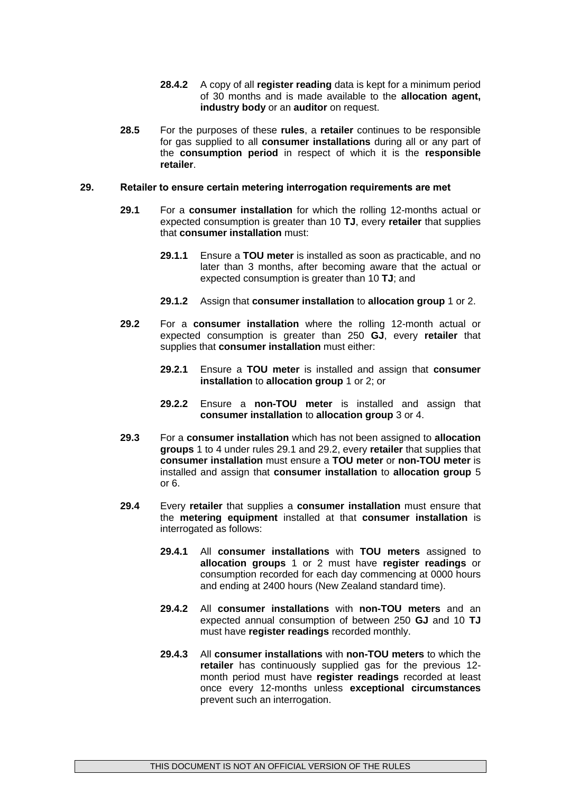- **28.4.2** A copy of all **register reading** data is kept for a minimum period of 30 months and is made available to the **allocation agent, industry body** or an **auditor** on request.
- **28.5** For the purposes of these **rules**, a **retailer** continues to be responsible for gas supplied to all **consumer installations** during all or any part of the **consumption period** in respect of which it is the **responsible retailer**.

#### **29. Retailer to ensure certain metering interrogation requirements are met**

- **29.1** For a **consumer installation** for which the rolling 12-months actual or expected consumption is greater than 10 **TJ**, every **retailer** that supplies that **consumer installation** must:
	- **29.1.1** Ensure a **TOU meter** is installed as soon as practicable, and no later than 3 months, after becoming aware that the actual or expected consumption is greater than 10 **TJ**; and
	- **29.1.2** Assign that **consumer installation** to **allocation group** 1 or 2.
- **29.2** For a **consumer installation** where the rolling 12-month actual or expected consumption is greater than 250 **GJ**, every **retailer** that supplies that **consumer installation** must either:
	- **29.2.1** Ensure a **TOU meter** is installed and assign that **consumer installation** to **allocation group** 1 or 2; or
	- **29.2.2** Ensure a **non-TOU meter** is installed and assign that **consumer installation** to **allocation group** 3 or 4.
- **29.3** For a **consumer installation** which has not been assigned to **allocation groups** 1 to 4 under rules 29.1 and 29.2, every **retailer** that supplies that **consumer installation** must ensure a **TOU meter** or **non-TOU meter** is installed and assign that **consumer installation** to **allocation group** 5 or 6.
- **29.4** Every **retailer** that supplies a **consumer installation** must ensure that the **metering equipment** installed at that **consumer installation** is interrogated as follows:
	- **29.4.1** All **consumer installations** with **TOU meters** assigned to **allocation groups** 1 or 2 must have **register readings** or consumption recorded for each day commencing at 0000 hours and ending at 2400 hours (New Zealand standard time).
	- **29.4.2** All **consumer installations** with **non-TOU meters** and an expected annual consumption of between 250 **GJ** and 10 **TJ** must have **register readings** recorded monthly.
	- **29.4.3** All **consumer installations** with **non-TOU meters** to which the **retailer** has continuously supplied gas for the previous 12 month period must have **register readings** recorded at least once every 12-months unless **exceptional circumstances** prevent such an interrogation.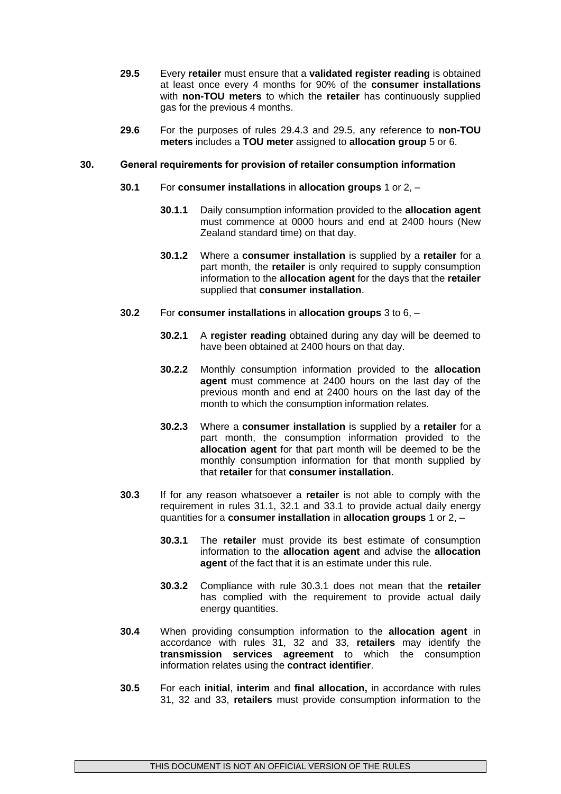- **29.5** Every **retailer** must ensure that a **validated register reading** is obtained at least once every 4 months for 90% of the **consumer installations** with **non-TOU meters** to which the **retailer** has continuously supplied gas for the previous 4 months.
- **29.6** For the purposes of rules 29.4.3 and 29.5, any reference to **non-TOU meters** includes a **TOU meter** assigned to **allocation group** 5 or 6.

#### **30. General requirements for provision of retailer consumption information**

- **30.1** For **consumer installations** in **allocation groups** 1 or 2,
	- **30.1.1** Daily consumption information provided to the **allocation agent** must commence at 0000 hours and end at 2400 hours (New Zealand standard time) on that day.
	- **30.1.2** Where a **consumer installation** is supplied by a **retailer** for a part month, the **retailer** is only required to supply consumption information to the **allocation agent** for the days that the **retailer** supplied that **consumer installation**.
- **30.2** For **consumer installations** in **allocation groups** 3 to 6,
	- **30.2.1** A **register reading** obtained during any day will be deemed to have been obtained at 2400 hours on that day.
	- **30.2.2** Monthly consumption information provided to the **allocation agent** must commence at 2400 hours on the last day of the previous month and end at 2400 hours on the last day of the month to which the consumption information relates.
	- **30.2.3** Where a **consumer installation** is supplied by a **retailer** for a part month, the consumption information provided to the **allocation agent** for that part month will be deemed to be the monthly consumption information for that month supplied by that **retailer** for that **consumer installation**.
- **30.3** If for any reason whatsoever a **retailer** is not able to comply with the requirement in rules 31.1, 32.1 and 33.1 to provide actual daily energy quantities for a **consumer installation** in **allocation groups** 1 or 2, –
	- **30.3.1** The **retailer** must provide its best estimate of consumption information to the **allocation agent** and advise the **allocation agent** of the fact that it is an estimate under this rule.
	- **30.3.2** Compliance with rule 30.3.1 does not mean that the **retailer** has complied with the requirement to provide actual daily energy quantities.
- **30.4** When providing consumption information to the **allocation agent** in accordance with rules 31, 32 and 33, **retailers** may identify the **transmission services agreement** to which the consumption information relates using the **contract identifier**.
- **30.5** For each **initial**, **interim** and **final allocation,** in accordance with rules 31, 32 and 33, **retailers** must provide consumption information to the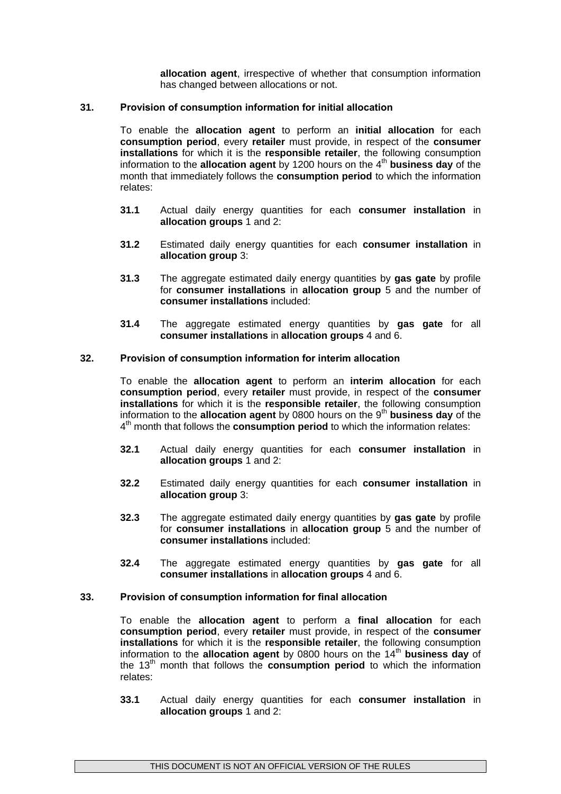**allocation agent**, irrespective of whether that consumption information has changed between allocations or not.

### **31. Provision of consumption information for initial allocation**

To enable the **allocation agent** to perform an **initial allocation** for each **consumption period**, every **retailer** must provide, in respect of the **consumer installations** for which it is the **responsible retailer**, the following consumption information to the **allocation agent** by 1200 hours on the 4<sup>th</sup> business day of the month that immediately follows the **consumption period** to which the information relates:

- **31.1** Actual daily energy quantities for each **consumer installation** in **allocation groups** 1 and 2:
- **31.2** Estimated daily energy quantities for each **consumer installation** in **allocation group** 3:
- **31.3** The aggregate estimated daily energy quantities by **gas gate** by profile for **consumer installations** in **allocation group** 5 and the number of **consumer installations** included:
- **31.4** The aggregate estimated energy quantities by **gas gate** for all **consumer installations** in **allocation groups** 4 and 6.

### **32. Provision of consumption information for interim allocation**

To enable the **allocation agent** to perform an **interim allocation** for each **consumption period**, every **retailer** must provide, in respect of the **consumer installations** for which it is the **responsible retailer**, the following consumption information to the **allocation agent** by 0800 hours on the 9<sup>th</sup> **business day** of the 4 th month that follows the **consumption period** to which the information relates:

- **32.1** Actual daily energy quantities for each **consumer installation** in **allocation groups** 1 and 2:
- **32.2** Estimated daily energy quantities for each **consumer installation** in **allocation group** 3:
- **32.3** The aggregate estimated daily energy quantities by **gas gate** by profile for **consumer installations** in **allocation group** 5 and the number of **consumer installations** included:
- **32.4** The aggregate estimated energy quantities by **gas gate** for all **consumer installations** in **allocation groups** 4 and 6.

#### **33. Provision of consumption information for final allocation**

To enable the **allocation agent** to perform a **final allocation** for each **consumption period**, every **retailer** must provide, in respect of the **consumer installations** for which it is the **responsible retailer**, the following consumption information to the **allocation agent** by 0800 hours on the 14<sup>th</sup> business day of the 13<sup>th</sup> month that follows the **consumption period** to which the information relates:

**33.1** Actual daily energy quantities for each **consumer installation** in **allocation groups** 1 and 2: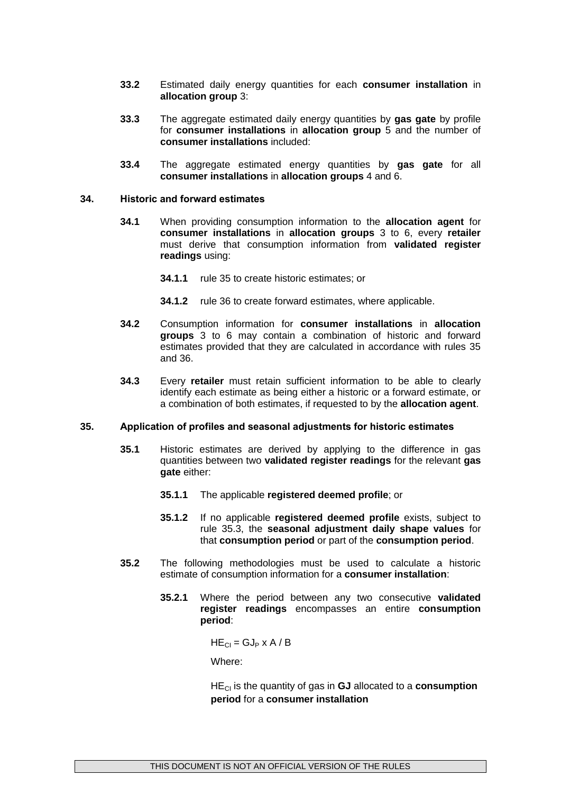- **33.2** Estimated daily energy quantities for each **consumer installation** in **allocation group** 3:
- **33.3** The aggregate estimated daily energy quantities by **gas gate** by profile for **consumer installations** in **allocation group** 5 and the number of **consumer installations** included:
- **33.4** The aggregate estimated energy quantities by **gas gate** for all **consumer installations** in **allocation groups** 4 and 6.

#### **34. Historic and forward estimates**

- **34.1** When providing consumption information to the **allocation agent** for **consumer installations** in **allocation groups** 3 to 6, every **retailer** must derive that consumption information from **validated register readings** using:
	- **34.1.1** rule 35 to create historic estimates; or
	- **34.1.2** rule 36 to create forward estimates, where applicable.
- **34.2** Consumption information for **consumer installations** in **allocation groups** 3 to 6 may contain a combination of historic and forward estimates provided that they are calculated in accordance with rules 35 and 36.
- **34.3** Every **retailer** must retain sufficient information to be able to clearly identify each estimate as being either a historic or a forward estimate, or a combination of both estimates, if requested to by the **allocation agent**.

### **35. Application of profiles and seasonal adjustments for historic estimates**

- **35.1** Historic estimates are derived by applying to the difference in gas quantities between two **validated register readings** for the relevant **gas gate** either:
	- **35.1.1** The applicable **registered deemed profile**; or
	- **35.1.2** If no applicable **registered deemed profile** exists, subject to rule 35.3, the **seasonal adjustment daily shape values** for that **consumption period** or part of the **consumption period**.
- **35.2** The following methodologies must be used to calculate a historic estimate of consumption information for a **consumer installation**:
	- **35.2.1** Where the period between any two consecutive **validated register readings** encompasses an entire **consumption period**:

 $HE_{Cl} = GJ_P \times A/B$ 

Where:

HE<sub>CI</sub> is the quantity of gas in **GJ** allocated to a **consumption period** for a **consumer installation**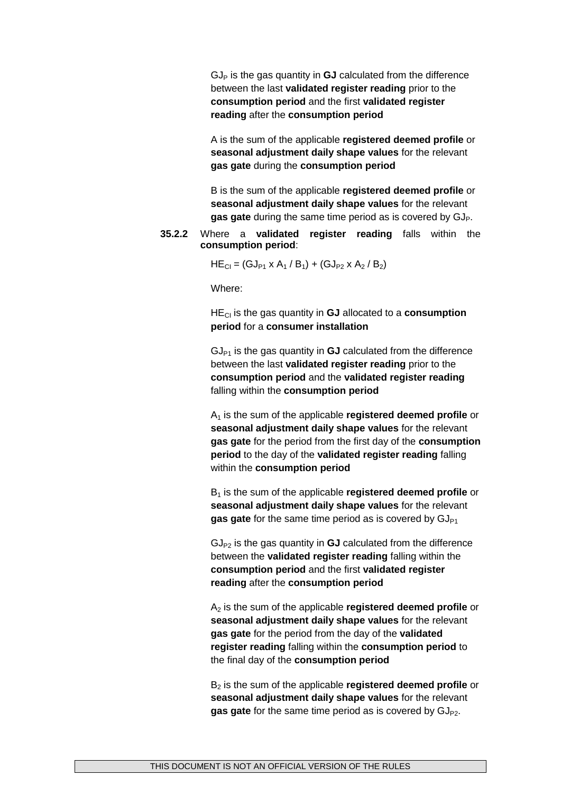$GJ<sub>P</sub>$  is the gas quantity in  $GJ$  calculated from the difference between the last **validated register reading** prior to the **consumption period** and the first **validated register reading** after the **consumption period**

A is the sum of the applicable **registered deemed profile** or **seasonal adjustment daily shape values** for the relevant **gas gate** during the **consumption period**

B is the sum of the applicable **registered deemed profile** or **seasonal adjustment daily shape values** for the relevant **gas gate** during the same time period as is covered by GJ<sub>P</sub>.

### **35.2.2** Where a **validated register reading** falls within the **consumption period**:

 $HE_{Cl} = (GJ_{P1} \times A_1 / B_1) + (GJ_{P2} \times A_2 / B_2)$ 

Where:

HECI is the gas quantity in **GJ** allocated to a **consumption period** for a **consumer installation**

 $GJ_{P1}$  is the gas quantity in  $GJ$  calculated from the difference between the last **validated register reading** prior to the **consumption period** and the **validated register reading** falling within the **consumption period**

A<sup>1</sup> is the sum of the applicable **registered deemed profile** or **seasonal adjustment daily shape values** for the relevant **gas gate** for the period from the first day of the **consumption period** to the day of the **validated register reading** falling within the **consumption period**

B<sup>1</sup> is the sum of the applicable **registered deemed profile** or **seasonal adjustment daily shape values** for the relevant gas gate for the same time period as is covered by GJ<sub>P1</sub>

 $GJ_{P2}$  is the gas quantity in  $GJ$  calculated from the difference between the **validated register reading** falling within the **consumption period** and the first **validated register reading** after the **consumption period**

A<sup>2</sup> is the sum of the applicable **registered deemed profile** or **seasonal adjustment daily shape values** for the relevant **gas gate** for the period from the day of the **validated register reading** falling within the **consumption period** to the final day of the **consumption period**

B<sup>2</sup> is the sum of the applicable **registered deemed profile** or **seasonal adjustment daily shape values** for the relevant **gas gate** for the same time period as is covered by GJ<sub>P2</sub>.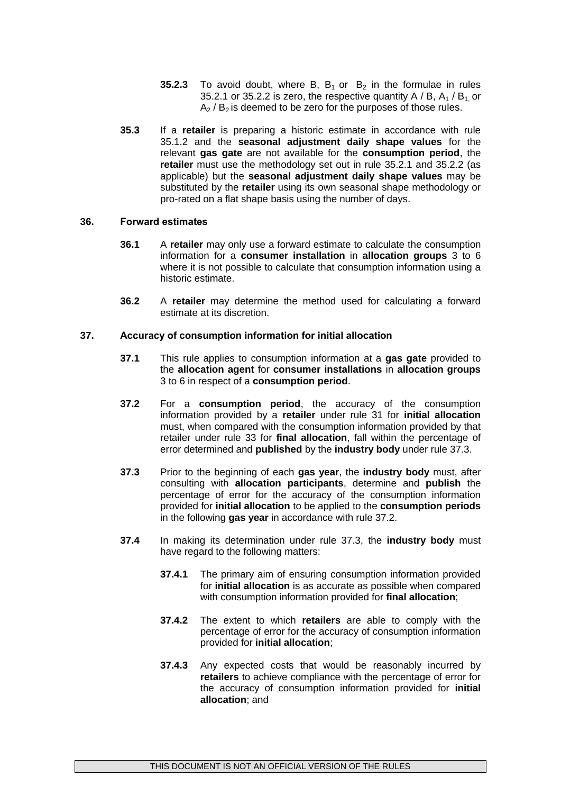- **35.2.3** To avoid doubt, where B,  $B_1$  or  $B_2$  in the formulae in rules 35.2.1 or 35.2.2 is zero, the respective quantity A / B,  $A_1$  / B<sub>1</sub> or  $A_2$  /  $B_2$  is deemed to be zero for the purposes of those rules.
- **35.3** If a **retailer** is preparing a historic estimate in accordance with rule 35.1.2 and the **seasonal adjustment daily shape values** for the relevant **gas gate** are not available for the **consumption period**, the **retailer** must use the methodology set out in rule 35.2.1 and 35.2.2 (as applicable) but the **seasonal adjustment daily shape values** may be substituted by the **retailer** using its own seasonal shape methodology or pro-rated on a flat shape basis using the number of days.

#### **36. Forward estimates**

- **36.1** A **retailer** may only use a forward estimate to calculate the consumption information for a **consumer installation** in **allocation groups** 3 to 6 where it is not possible to calculate that consumption information using a historic estimate.
- **36.2** A **retailer** may determine the method used for calculating a forward estimate at its discretion.

### **37. Accuracy of consumption information for initial allocation**

- **37.1** This rule applies to consumption information at a **gas gate** provided to the **allocation agent** for **consumer installations** in **allocation groups** 3 to 6 in respect of a **consumption period**.
- **37.2** For a **consumption period**, the accuracy of the consumption information provided by a **retailer** under rule 31 for **initial allocation** must, when compared with the consumption information provided by that retailer under rule 33 for **final allocation**, fall within the percentage of error determined and **published** by the **industry body** under rule 37.3.
- **37.3** Prior to the beginning of each **gas year**, the **industry body** must, after consulting with **allocation participants**, determine and **publish** the percentage of error for the accuracy of the consumption information provided for **initial allocation** to be applied to the **consumption periods**  in the following **gas year** in accordance with rule 37.2.
- **37.4** In making its determination under rule 37.3, the **industry body** must have regard to the following matters:
	- **37.4.1** The primary aim of ensuring consumption information provided for **initial allocation** is as accurate as possible when compared with consumption information provided for **final allocation**;
	- **37.4.2** The extent to which **retailers** are able to comply with the percentage of error for the accuracy of consumption information provided for **initial allocation**;
	- **37.4.3** Any expected costs that would be reasonably incurred by **retailers** to achieve compliance with the percentage of error for the accuracy of consumption information provided for **initial allocation**; and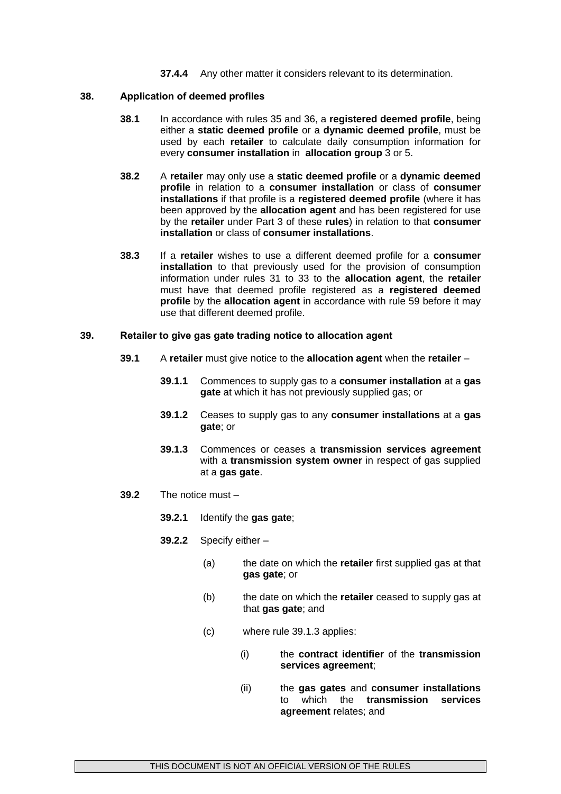**37.4.4** Any other matter it considers relevant to its determination.

#### **38. Application of deemed profiles**

- **38.1** In accordance with rules 35 and 36, a **registered deemed profile**, being either a **static deemed profile** or a **dynamic deemed profile**, must be used by each **retailer** to calculate daily consumption information for every **consumer installation** in **allocation group** 3 or 5.
- **38.2** A **retailer** may only use a **static deemed profile** or a **dynamic deemed profile** in relation to a **consumer installation** or class of **consumer installations** if that profile is a **registered deemed profile** (where it has been approved by the **allocation agent** and has been registered for use by the **retailer** under Part 3 of these **rules**) in relation to that **consumer installation** or class of **consumer installations**.
- **38.3** If a **retailer** wishes to use a different deemed profile for a **consumer installation** to that previously used for the provision of consumption information under rules 31 to 33 to the **allocation agent**, the **retailer** must have that deemed profile registered as a **registered deemed profile** by the **allocation agent** in accordance with rule 59 before it may use that different deemed profile.

# **39. Retailer to give gas gate trading notice to allocation agent**

- **39.1** A **retailer** must give notice to the **allocation agent** when the **retailer**
	- **39.1.1** Commences to supply gas to a **consumer installation** at a **gas gate** at which it has not previously supplied gas; or
	- **39.1.2** Ceases to supply gas to any **consumer installations** at a **gas gate**; or
	- **39.1.3** Commences or ceases a **transmission services agreement** with a **transmission system owner** in respect of gas supplied at a **gas gate**.
- **39.2** The notice must
	- **39.2.1** Identify the **gas gate**;
	- **39.2.2** Specify either
		- (a) the date on which the **retailer** first supplied gas at that **gas gate**; or
		- (b) the date on which the **retailer** ceased to supply gas at that **gas gate**; and
		- (c) where rule 39.1.3 applies:
			- (i) the **contract identifier** of the **transmission services agreement**;
			- (ii) the **gas gates** and **consumer installations** to which the **transmission services agreement** relates; and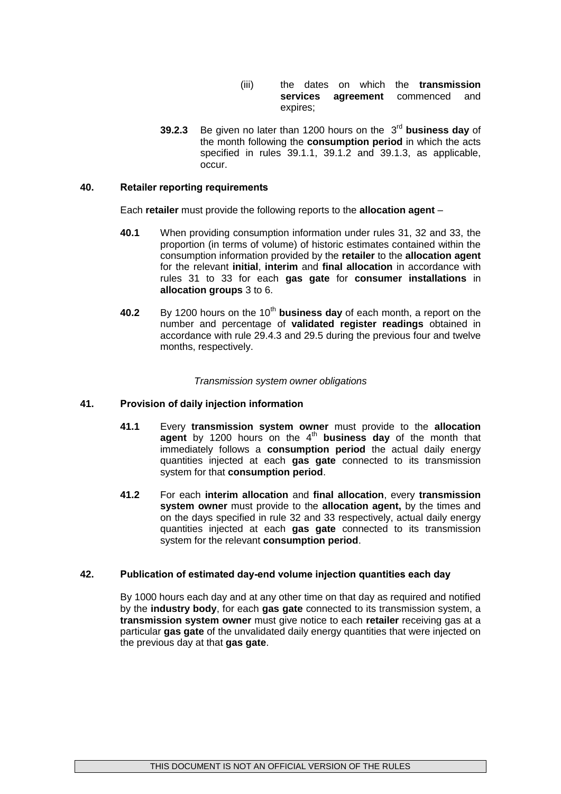- (iii) the dates on which the **transmission services agreement** commenced and expires;
- **39.2.3** Be given no later than 1200 hours on the 3<sup>rd</sup> business day of the month following the **consumption period** in which the acts specified in rules 39.1.1, 39.1.2 and 39.1.3, as applicable, occur.

### **40. Retailer reporting requirements**

Each **retailer** must provide the following reports to the **allocation agent** –

- **40.1** When providing consumption information under rules 31, 32 and 33, the proportion (in terms of volume) of historic estimates contained within the consumption information provided by the **retailer** to the **allocation agent** for the relevant **initial**, **interim** and **final allocation** in accordance with rules 31 to 33 for each **gas gate** for **consumer installations** in **allocation groups** 3 to 6.
- **40.2** By 1200 hours on the 10<sup>th</sup> business day of each month, a report on the number and percentage of **validated register readings** obtained in accordance with rule 29.4.3 and 29.5 during the previous four and twelve months, respectively.

### *Transmission system owner obligations*

### **41. Provision of daily injection information**

- **41.1** Every **transmission system owner** must provide to the **allocation agent** by 1200 hours on the 4<sup>th</sup> business day of the month that immediately follows a **consumption period** the actual daily energy quantities injected at each **gas gate** connected to its transmission system for that **consumption period**.
- **41.2** For each **interim allocation** and **final allocation**, every **transmission system owner** must provide to the **allocation agent,** by the times and on the days specified in rule 32 and 33 respectively, actual daily energy quantities injected at each **gas gate** connected to its transmission system for the relevant **consumption period**.

### **42. Publication of estimated day-end volume injection quantities each day**

By 1000 hours each day and at any other time on that day as required and notified by the **industry body**, for each **gas gate** connected to its transmission system, a **transmission system owner** must give notice to each **retailer** receiving gas at a particular **gas gate** of the unvalidated daily energy quantities that were injected on the previous day at that **gas gate**.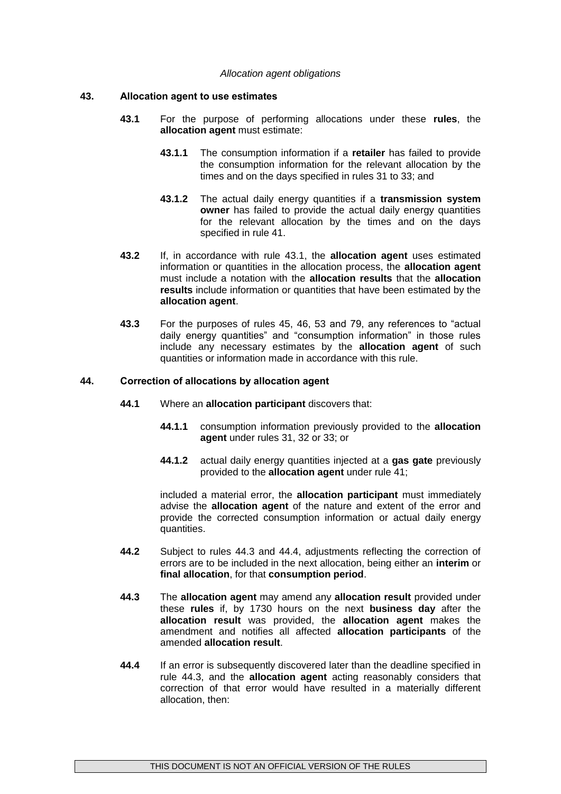#### *Allocation agent obligations*

### **43. Allocation agent to use estimates**

- **43.1** For the purpose of performing allocations under these **rules**, the **allocation agent** must estimate:
	- **43.1.1** The consumption information if a **retailer** has failed to provide the consumption information for the relevant allocation by the times and on the days specified in rules 31 to 33; and
	- **43.1.2** The actual daily energy quantities if a **transmission system owner** has failed to provide the actual daily energy quantities for the relevant allocation by the times and on the days specified in rule 41.
- **43.2** If, in accordance with rule 43.1, the **allocation agent** uses estimated information or quantities in the allocation process, the **allocation agent** must include a notation with the **allocation results** that the **allocation results** include information or quantities that have been estimated by the **allocation agent**.
- **43.3** For the purposes of rules 45, 46, 53 and 79, any references to "actual daily energy quantities" and "consumption information" in those rules include any necessary estimates by the **allocation agent** of such quantities or information made in accordance with this rule.

#### **44. Correction of allocations by allocation agent**

- **44.1** Where an **allocation participant** discovers that:
	- **44.1.1** consumption information previously provided to the **allocation agent** under rules 31, 32 or 33; or
	- **44.1.2** actual daily energy quantities injected at a **gas gate** previously provided to the **allocation agent** under rule 41;

included a material error, the **allocation participant** must immediately advise the **allocation agent** of the nature and extent of the error and provide the corrected consumption information or actual daily energy quantities.

- **44.2** Subject to rules 44.3 and 44.4, adjustments reflecting the correction of errors are to be included in the next allocation, being either an **interim** or **final allocation**, for that **consumption period**.
- **44.3** The **allocation agent** may amend any **allocation result** provided under these **rules** if, by 1730 hours on the next **business day** after the **allocation result** was provided, the **allocation agent** makes the amendment and notifies all affected **allocation participants** of the amended **allocation result**.
- **44.4** If an error is subsequently discovered later than the deadline specified in rule 44.3, and the **allocation agent** acting reasonably considers that correction of that error would have resulted in a materially different allocation, then: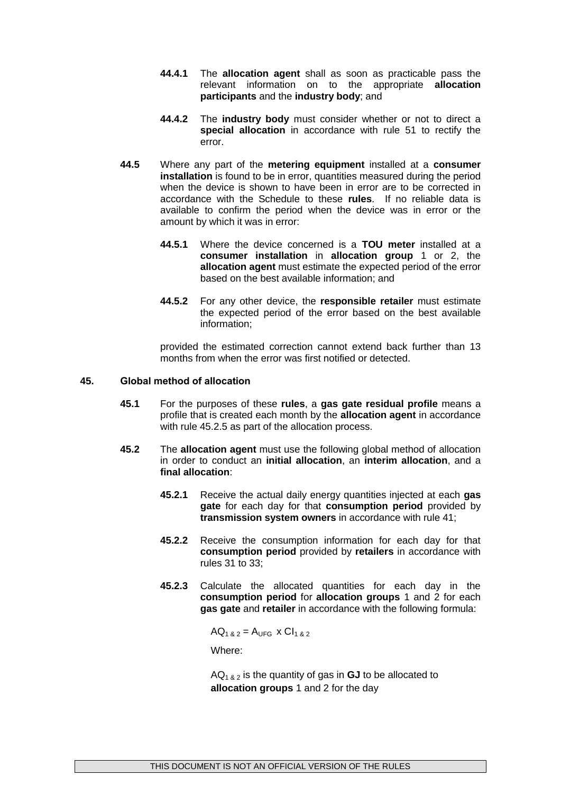- **44.4.1** The **allocation agent** shall as soon as practicable pass the relevant information on to the appropriate **allocation participants** and the **industry body**; and
- **44.4.2** The **industry body** must consider whether or not to direct a **special allocation** in accordance with rule 51 to rectify the error.
- **44.5** Where any part of the **metering equipment** installed at a **consumer installation** is found to be in error, quantities measured during the period when the device is shown to have been in error are to be corrected in accordance with the Schedule to these **rules**. If no reliable data is available to confirm the period when the device was in error or the amount by which it was in error:
	- **44.5.1** Where the device concerned is a **TOU meter** installed at a **consumer installation** in **allocation group** 1 or 2, the **allocation agent** must estimate the expected period of the error based on the best available information; and
	- **44.5.2** For any other device, the **responsible retailer** must estimate the expected period of the error based on the best available information;

provided the estimated correction cannot extend back further than 13 months from when the error was first notified or detected.

### **45. Global method of allocation**

- **45.1** For the purposes of these **rules**, a **gas gate residual profile** means a profile that is created each month by the **allocation agent** in accordance with rule 45.2.5 as part of the allocation process.
- **45.2** The **allocation agent** must use the following global method of allocation in order to conduct an **initial allocation**, an **interim allocation**, and a **final allocation**:
	- **45.2.1** Receive the actual daily energy quantities injected at each **gas gate** for each day for that **consumption period** provided by **transmission system owners** in accordance with rule 41;
	- **45.2.2** Receive the consumption information for each day for that **consumption period** provided by **retailers** in accordance with rules 31 to 33;
	- **45.2.3** Calculate the allocated quantities for each day in the **consumption period** for **allocation groups** 1 and 2 for each **gas gate** and **retailer** in accordance with the following formula:

 $AQ_{1,8,2} = A_{UFG} \times Cl_{1,8,2}$ 

Where:

 $AQ<sub>1</sub>_{8,2}$  is the quantity of gas in **GJ** to be allocated to **allocation groups** 1 and 2 for the day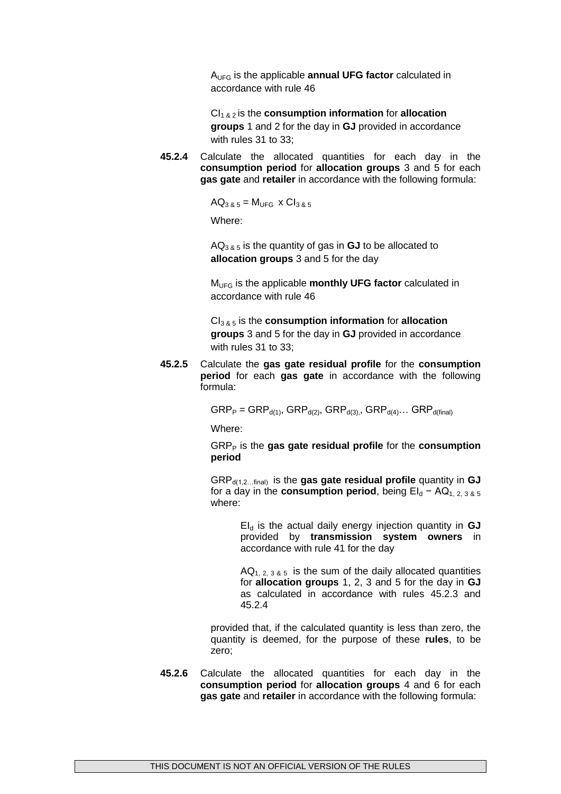AUFG is the applicable **annual UFG factor** calculated in accordance with rule 46

CI1 & 2 is the **consumption information** for **allocation groups** 1 and 2 for the day in **GJ** provided in accordance with rules 31 to 33;

**45.2.4** Calculate the allocated quantities for each day in the **consumption period** for **allocation groups** 3 and 5 for each **gas gate** and **retailer** in accordance with the following formula:

 $AQ_{385} = M_{UFG} \times Cl_{385}$ 

Where:

 $AQ_{3,8,5}$  is the quantity of gas in **GJ** to be allocated to **allocation groups** 3 and 5 for the day

MUFG is the applicable **monthly UFG factor** calculated in accordance with rule 46

CI3 & 5 is the **consumption information** for **allocation groups** 3 and 5 for the day in **GJ** provided in accordance with rules 31 to 33;

**45.2.5** Calculate the **gas gate residual profile** for the **consumption period** for each **gas gate** in accordance with the following formula:

 $\text{GRP}_P = \text{GRP}_{d(1)}$ ,  $\text{GRP}_{d(2)}$ ,  $\text{GRP}_{d(3)}$ ,  $\text{GRP}_{d(4)}$ ...  $\text{GRP}_{d(final)}$ 

Where:

GRP<sup>P</sup> is the **gas gate residual profile** for the **consumption period**

GRPd(1,2…final) is the **gas gate residual profile** quantity in **GJ** for a day in the **consumption period**, being  $EI_d - AQ_{1, 2, 3, 8, 5}$ where:

> EI<sup>d</sup> is the actual daily energy injection quantity in **GJ** provided by **transmission system owners** in accordance with rule 41 for the day

> $AQ_{1, 2, 3, 8, 5}$  is the sum of the daily allocated quantities for **allocation groups** 1, 2, 3 and 5 for the day in **GJ** as calculated in accordance with rules 45.2.3 and 45.2.4

provided that, if the calculated quantity is less than zero, the quantity is deemed, for the purpose of these **rules**, to be zero;

**45.2.6** Calculate the allocated quantities for each day in the **consumption period** for **allocation groups** 4 and 6 for each **gas gate** and **retailer** in accordance with the following formula: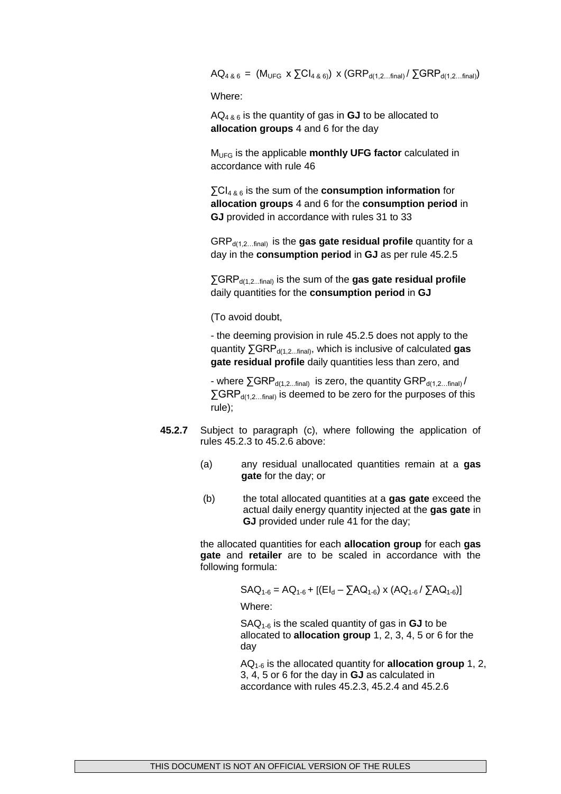$AQ_{4, 8, 6} = (M_{UFG} \times \sum Cl_{4, 8, 6}) \times (GRP_{d(1, 2...final)} / \sum GRP_{d(1, 2...final)})$ 

Where:

AQ4 & 6 is the quantity of gas in **GJ** to be allocated to **allocation groups** 4 and 6 for the day

MUFG is the applicable **monthly UFG factor** calculated in accordance with rule 46

∑CI4 & 6 is the sum of the **consumption information** for **allocation groups** 4 and 6 for the **consumption period** in **GJ** provided in accordance with rules 31 to 33

GRPd(1,2…final) is the **gas gate residual profile** quantity for a day in the **consumption period** in **GJ** as per rule 45.2.5

∑GRP<sub>d(1,2...final)</sub> is the sum of the gas gate residual profile daily quantities for the **consumption period** in **GJ**

(To avoid doubt,

- the deeming provision in rule 45.2.5 does not apply to the quantity ∑GRP<sub>d(1,2...final)</sub>, which is inclusive of calculated **gas gate residual profile** daily quantities less than zero, and

- where  $\Sigma$ GRP<sub>d(1,2...final)</sub> is zero, the quantity GRP<sub>d(1,2...final)</sub>/  $\Sigma$ GRP<sub>d(1,2…final)</sub> is deemed to be zero for the purposes of this rule);

- **45.2.7** Subject to paragraph (c), where following the application of rules 45.2.3 to 45.2.6 above:
	- (a) any residual unallocated quantities remain at a **gas gate** for the day; or
	- (b) the total allocated quantities at a **gas gate** exceed the actual daily energy quantity injected at the **gas gate** in **GJ** provided under rule 41 for the day;

the allocated quantities for each **allocation group** for each **gas gate** and **retailer** are to be scaled in accordance with the following formula:

$$
SAQ_{1-6} = AQ_{1-6} + [(El_d - \sum AQ_{1-6}) \times (AQ_{1-6} / \sum AQ_{1-6})]
$$

Where:

SAQ1-6 is the scaled quantity of gas in **GJ** to be allocated to **allocation group** 1, 2, 3, 4, 5 or 6 for the day

AQ1-6 is the allocated quantity for **allocation group** 1, 2, 3, 4, 5 or 6 for the day in **GJ** as calculated in accordance with rules 45.2.3, 45.2.4 and 45.2.6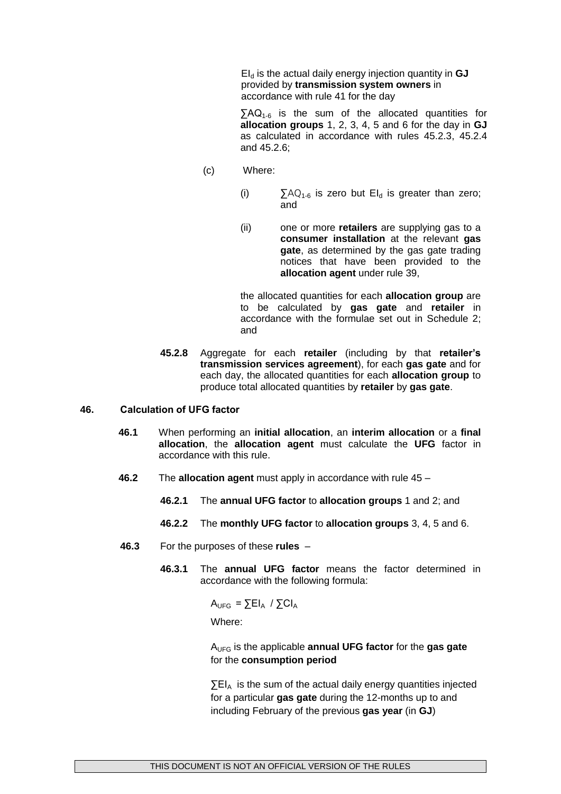EI<sup>d</sup> is the actual daily energy injection quantity in **GJ** provided by **transmission system owners** in accordance with rule 41 for the day

 $\sum AQ_{1.6}$  is the sum of the allocated quantities for **allocation groups** 1, 2, 3, 4, 5 and 6 for the day in **GJ** as calculated in accordance with rules 45.2.3, 45.2.4 and 45.2.6;

- (c) Where:
	- (i)  $\sum AQ_{1-6}$  is zero but EI<sub>d</sub> is greater than zero; and
	- (ii) one or more **retailers** are supplying gas to a **consumer installation** at the relevant **gas gate**, as determined by the gas gate trading notices that have been provided to the **allocation agent** under rule 39,

the allocated quantities for each **allocation group** are to be calculated by **gas gate** and **retailer** in accordance with the formulae set out in Schedule 2; and

**45.2.8** Aggregate for each **retailer** (including by that **retailer's transmission services agreement**), for each **gas gate** and for each day, the allocated quantities for each **allocation group** to produce total allocated quantities by **retailer** by **gas gate**.

#### **46. Calculation of UFG factor**

- **46.1** When performing an **initial allocation**, an **interim allocation** or a **final allocation**, the **allocation agent** must calculate the **UFG** factor in accordance with this rule.
- **46.2** The **allocation agent** must apply in accordance with rule 45
	- **46.2.1** The **annual UFG factor** to **allocation groups** 1 and 2; and
	- **46.2.2** The **monthly UFG factor** to **allocation groups** 3, 4, 5 and 6.
- **46.3** For the purposes of these **rules**
	- **46.3.1** The **annual UFG factor** means the factor determined in accordance with the following formula:

 $A_{UFG} = \sum E I_A / \sum C I_A$ 

Where:

AUFG is the applicable **annual UFG factor** for the **gas gate**  for the **consumption period**

 $\Sigma$ EI<sub>A</sub> is the sum of the actual daily energy quantities injected for a particular **gas gate** during the 12-months up to and including February of the previous **gas year** (in **GJ**)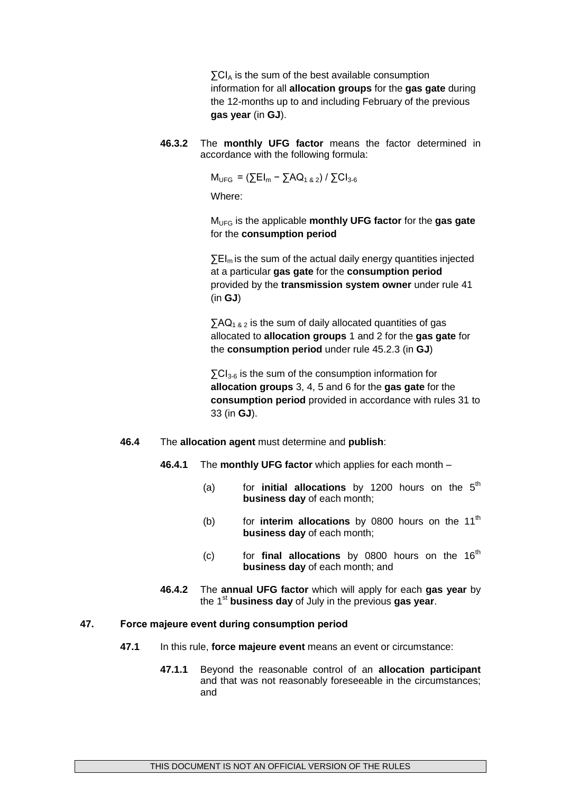$\Sigma$ CI<sub>A</sub> is the sum of the best available consumption information for all **allocation groups** for the **gas gate** during the 12-months up to and including February of the previous **gas year** (in **GJ**).

**46.3.2** The **monthly UFG factor** means the factor determined in accordance with the following formula:

 $M_{UFG} = (\sum EI_m - \sum AQ_{1 & 2}) / \sum Cl_{3-6}$ 

Where:

MUFG is the applicable **monthly UFG factor** for the **gas gate**  for the **consumption period**

 $\Sigma$ EI<sub>m</sub> is the sum of the actual daily energy quantities injected at a particular **gas gate** for the **consumption period** provided by the **transmission system owner** under rule 41 (in **GJ**)

 $\sum AQ_{1,8,2}$  is the sum of daily allocated quantities of gas allocated to **allocation groups** 1 and 2 for the **gas gate** for the **consumption period** under rule 45.2.3 (in **GJ**)

 $\Sigma$ CI<sub>3-6</sub> is the sum of the consumption information for **allocation groups** 3, 4, 5 and 6 for the **gas gate** for the **consumption period** provided in accordance with rules 31 to 33 (in **GJ**).

- **46.4** The **allocation agent** must determine and **publish**:
	- **46.4.1** The **monthly UFG factor** which applies for each month
		- (a) for **initial allocations** by 1200 hours on the  $5<sup>th</sup>$ **business day** of each month;
		- (b) for **interim allocations** by 0800 hours on the 11<sup>th</sup> **business day** of each month;
		- (c) for **final allocations** by 0800 hours on the  $16<sup>th</sup>$ **business day** of each month; and
	- **46.4.2** The **annual UFG factor** which will apply for each **gas year** by the 1<sup>st</sup> business day of July in the previous gas year.

### **47. Force majeure event during consumption period**

- **47.1** In this rule, **force majeure event** means an event or circumstance:
	- **47.1.1** Beyond the reasonable control of an **allocation participant** and that was not reasonably foreseeable in the circumstances; and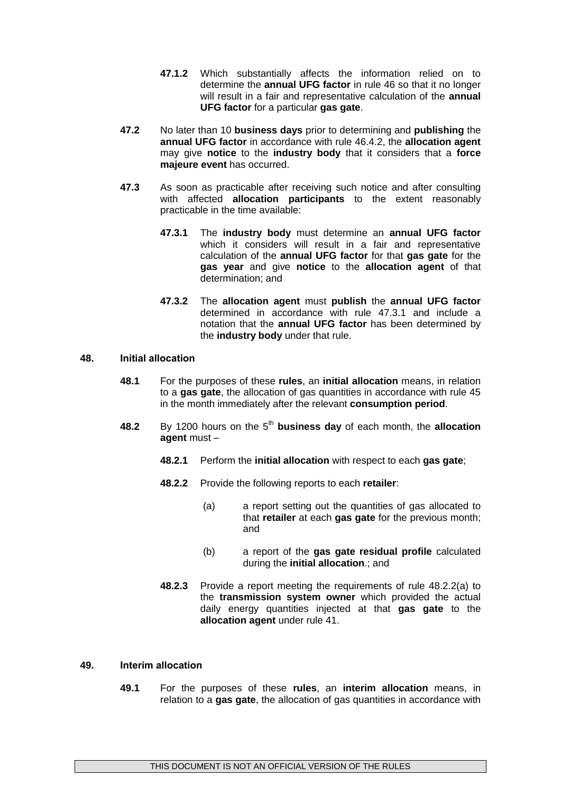- **47.1.2** Which substantially affects the information relied on to determine the **annual UFG factor** in rule 46 so that it no longer will result in a fair and representative calculation of the **annual UFG factor** for a particular **gas gate**.
- **47.2** No later than 10 **business days** prior to determining and **publishing** the **annual UFG factor** in accordance with rule 46.4.2, the **allocation agent** may give **notice** to the **industry body** that it considers that a **force majeure event** has occurred.
- **47.3** As soon as practicable after receiving such notice and after consulting with affected **allocation participants** to the extent reasonably practicable in the time available:
	- **47.3.1** The **industry body** must determine an **annual UFG factor** which it considers will result in a fair and representative calculation of the **annual UFG factor** for that **gas gate** for the **gas year** and give **notice** to the **allocation agent** of that determination; and
	- **47.3.2** The **allocation agent** must **publish** the **annual UFG factor** determined in accordance with rule 47.3.1 and include a notation that the **annual UFG factor** has been determined by the **industry body** under that rule.

### **48. Initial allocation**

- **48.1** For the purposes of these **rules**, an **initial allocation** means, in relation to a **gas gate**, the allocation of gas quantities in accordance with rule 45 in the month immediately after the relevant **consumption period**.
- **48.2** By 1200 hours on the 5<sup>th</sup> business day of each month, the allocation **agent** must –
	- **48.2.1** Perform the **initial allocation** with respect to each **gas gate**;
	- **48.2.2** Provide the following reports to each **retailer**:
		- (a) a report setting out the quantities of gas allocated to that **retailer** at each **gas gate** for the previous month; and
		- (b) a report of the **gas gate residual profile** calculated during the **initial allocation**.; and
	- **48.2.3** Provide a report meeting the requirements of rule 48.2.2(a) to the **transmission system owner** which provided the actual daily energy quantities injected at that **gas gate** to the **allocation agent** under rule 41.

# **49. Interim allocation**

**49.1** For the purposes of these **rules**, an **interim allocation** means, in relation to a **gas gate**, the allocation of gas quantities in accordance with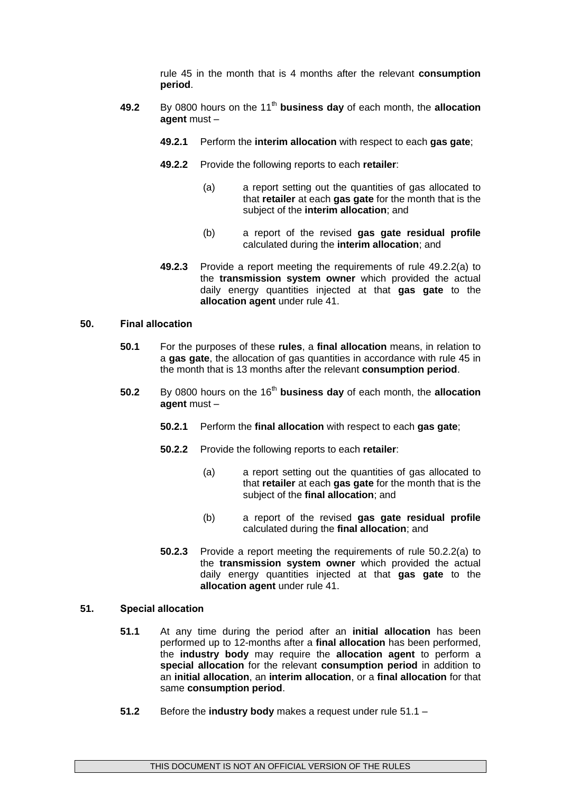rule 45 in the month that is 4 months after the relevant **consumption period**.

- **49.2** By 0800 hours on the 11<sup>th</sup> business day of each month, the allocation **agent** must –
	- **49.2.1** Perform the **interim allocation** with respect to each **gas gate**;
	- **49.2.2** Provide the following reports to each **retailer**:
		- (a) a report setting out the quantities of gas allocated to that **retailer** at each **gas gate** for the month that is the subject of the **interim allocation**; and
		- (b) a report of the revised **gas gate residual profile** calculated during the **interim allocation**; and
	- **49.2.3** Provide a report meeting the requirements of rule 49.2.2(a) to the **transmission system owner** which provided the actual daily energy quantities injected at that **gas gate** to the **allocation agent** under rule 41.

### **50. Final allocation**

- **50.1** For the purposes of these **rules**, a **final allocation** means, in relation to a **gas gate**, the allocation of gas quantities in accordance with rule 45 in the month that is 13 months after the relevant **consumption period**.
- **50.2** By 0800 hours on the 16<sup>th</sup> business day of each month, the allocation **agent** must –
	- **50.2.1** Perform the **final allocation** with respect to each **gas gate**;
	- **50.2.2** Provide the following reports to each **retailer**:
		- (a) a report setting out the quantities of gas allocated to that **retailer** at each **gas gate** for the month that is the subject of the **final allocation**; and
		- (b) a report of the revised **gas gate residual profile** calculated during the **final allocation**; and
	- **50.2.3** Provide a report meeting the requirements of rule 50.2.2(a) to the **transmission system owner** which provided the actual daily energy quantities injected at that **gas gate** to the **allocation agent** under rule 41.

### **51. Special allocation**

- **51.1** At any time during the period after an **initial allocation** has been performed up to 12-months after a **final allocation** has been performed, the **industry body** may require the **allocation agent** to perform a **special allocation** for the relevant **consumption period** in addition to an **initial allocation**, an **interim allocation**, or a **final allocation** for that same **consumption period**.
- **51.2** Before the **industry body** makes a request under rule 51.1 –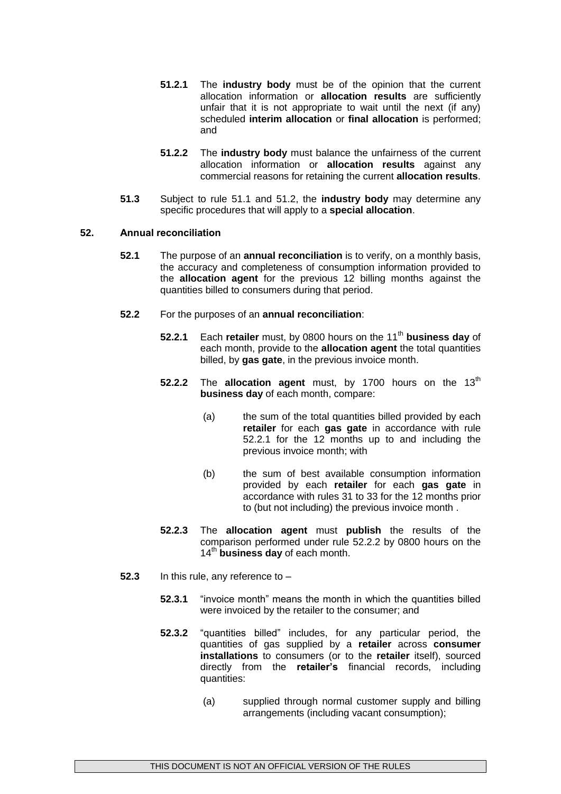- **51.2.1** The **industry body** must be of the opinion that the current allocation information or **allocation results** are sufficiently unfair that it is not appropriate to wait until the next (if any) scheduled **interim allocation** or **final allocation** is performed; and
- **51.2.2** The **industry body** must balance the unfairness of the current allocation information or **allocation results** against any commercial reasons for retaining the current **allocation results**.
- **51.3** Subject to rule 51.1 and 51.2, the **industry body** may determine any specific procedures that will apply to a **special allocation**.

### **52. Annual reconciliation**

- **52.1** The purpose of an **annual reconciliation** is to verify, on a monthly basis, the accuracy and completeness of consumption information provided to the **allocation agent** for the previous 12 billing months against the quantities billed to consumers during that period.
- **52.2** For the purposes of an **annual reconciliation**:
	- **52.2.1** Each **retailer** must, by 0800 hours on the 11<sup>th</sup> business day of each month, provide to the **allocation agent** the total quantities billed, by **gas gate**, in the previous invoice month.
	- **52.2.2** The **allocation agent** must, by 1700 hours on the 13<sup>th</sup> **business day** of each month, compare:
		- (a) the sum of the total quantities billed provided by each **retailer** for each **gas gate** in accordance with rule 52.2.1 for the 12 months up to and including the previous invoice month; with
		- (b) the sum of best available consumption information provided by each **retailer** for each **gas gate** in accordance with rules 31 to 33 for the 12 months prior to (but not including) the previous invoice month .
	- **52.2.3** The **allocation agent** must **publish** the results of the comparison performed under rule 52.2.2 by 0800 hours on the 14<sup>th</sup> business day of each month.
- **52.3** In this rule, any reference to
	- **52.3.1** "invoice month" means the month in which the quantities billed were invoiced by the retailer to the consumer; and
	- **52.3.2** "quantities billed" includes, for any particular period, the quantities of gas supplied by a **retailer** across **consumer installations** to consumers (or to the **retailer** itself), sourced directly from the **retailer's** financial records, including quantities:
		- (a) supplied through normal customer supply and billing arrangements (including vacant consumption);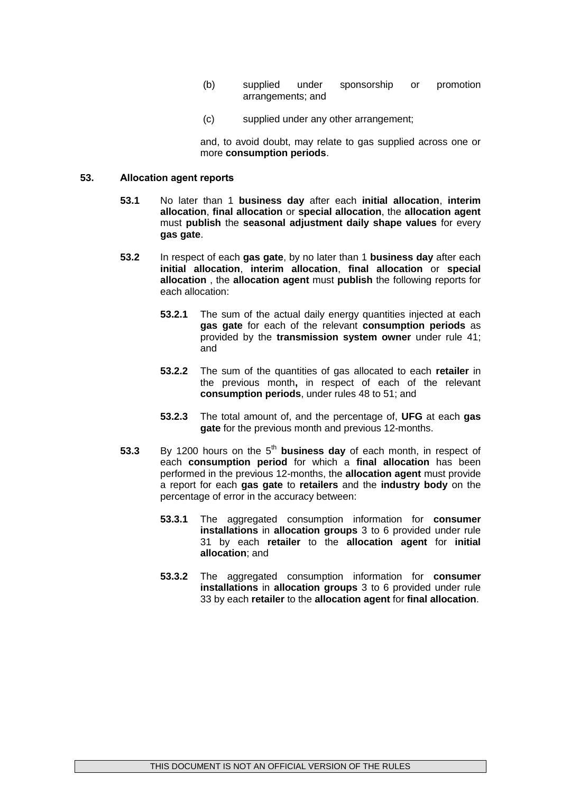- (b) supplied under sponsorship or promotion arrangements; and
- (c) supplied under any other arrangement;

and, to avoid doubt, may relate to gas supplied across one or more **consumption periods**.

#### **53. Allocation agent reports**

- **53.1** No later than 1 **business day** after each **initial allocation**, **interim allocation**, **final allocation** or **special allocation**, the **allocation agent** must **publish** the **seasonal adjustment daily shape values** for every **gas gate**.
- **53.2** In respect of each **gas gate**, by no later than 1 **business day** after each **initial allocation**, **interim allocation**, **final allocation** or **special allocation** , the **allocation agent** must **publish** the following reports for each allocation:
	- **53.2.1** The sum of the actual daily energy quantities injected at each **gas gate** for each of the relevant **consumption periods** as provided by the **transmission system owner** under rule 41; and
	- **53.2.2** The sum of the quantities of gas allocated to each **retailer** in the previous month**,** in respect of each of the relevant **consumption periods**, under rules 48 to 51; and
	- **53.2.3** The total amount of, and the percentage of, **UFG** at each **gas gate** for the previous month and previous 12-months.
- **53.3** By 1200 hours on the 5<sup>th</sup> business day of each month, in respect of each **consumption period** for which a **final allocation** has been performed in the previous 12-months, the **allocation agent** must provide a report for each **gas gate** to **retailers** and the **industry body** on the percentage of error in the accuracy between:
	- **53.3.1** The aggregated consumption information for **consumer installations** in **allocation groups** 3 to 6 provided under rule 31 by each **retailer** to the **allocation agent** for **initial allocation**; and
	- **53.3.2** The aggregated consumption information for **consumer installations** in **allocation groups** 3 to 6 provided under rule 33 by each **retailer** to the **allocation agent** for **final allocation**.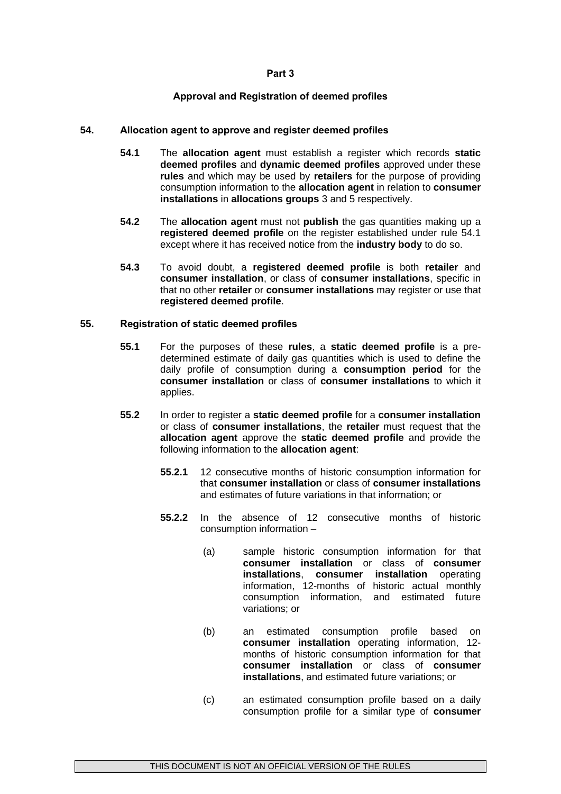#### **Part 3**

### **Approval and Registration of deemed profiles**

### **54. Allocation agent to approve and register deemed profiles**

- **54.1** The **allocation agent** must establish a register which records **static deemed profiles** and **dynamic deemed profiles** approved under these **rules** and which may be used by **retailers** for the purpose of providing consumption information to the **allocation agent** in relation to **consumer installations** in **allocations groups** 3 and 5 respectively.
- **54.2** The **allocation agent** must not **publish** the gas quantities making up a **registered deemed profile** on the register established under rule 54.1 except where it has received notice from the **industry body** to do so.
- **54.3** To avoid doubt, a **registered deemed profile** is both **retailer** and **consumer installation**, or class of **consumer installations**, specific in that no other **retailer** or **consumer installations** may register or use that **registered deemed profile**.

#### **55. Registration of static deemed profiles**

- **55.1** For the purposes of these **rules**, a **static deemed profile** is a predetermined estimate of daily gas quantities which is used to define the daily profile of consumption during a **consumption period** for the **consumer installation** or class of **consumer installations** to which it applies.
- **55.2** In order to register a **static deemed profile** for a **consumer installation** or class of **consumer installations**, the **retailer** must request that the **allocation agent** approve the **static deemed profile** and provide the following information to the **allocation agent**:
	- **55.2.1** 12 consecutive months of historic consumption information for that **consumer installation** or class of **consumer installations** and estimates of future variations in that information; or
	- **55.2.2** In the absence of 12 consecutive months of historic consumption information –
		- (a) sample historic consumption information for that **consumer installation** or class of **consumer installations**, **consumer installation** operating information, 12-months of historic actual monthly consumption information, and estimated future variations; or
		- (b) an estimated consumption profile based on **consumer installation** operating information, 12 months of historic consumption information for that **consumer installation** or class of **consumer installations**, and estimated future variations; or
		- (c) an estimated consumption profile based on a daily consumption profile for a similar type of **consumer**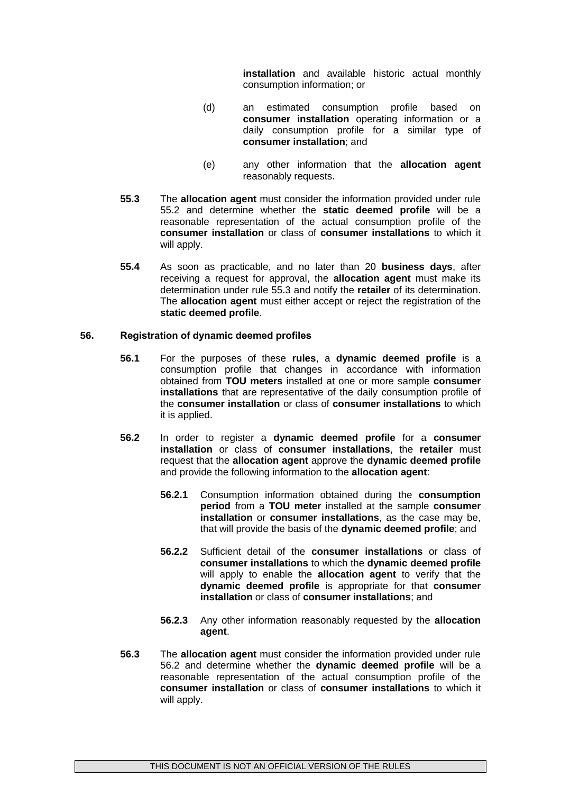**installation** and available historic actual monthly consumption information; or

- (d) an estimated consumption profile based on **consumer installation** operating information or a daily consumption profile for a similar type of **consumer installation**; and
- (e) any other information that the **allocation agent** reasonably requests.
- **55.3** The **allocation agent** must consider the information provided under rule 55.2 and determine whether the **static deemed profile** will be a reasonable representation of the actual consumption profile of the **consumer installation** or class of **consumer installations** to which it will apply.
- **55.4** As soon as practicable, and no later than 20 **business days**, after receiving a request for approval, the **allocation agent** must make its determination under rule 55.3 and notify the **retailer** of its determination. The **allocation agent** must either accept or reject the registration of the **static deemed profile**.

### **56. Registration of dynamic deemed profiles**

- **56.1** For the purposes of these **rules**, a **dynamic deemed profile** is a consumption profile that changes in accordance with information obtained from **TOU meters** installed at one or more sample **consumer installations** that are representative of the daily consumption profile of the **consumer installation** or class of **consumer installations** to which it is applied.
- **56.2** In order to register a **dynamic deemed profile** for a **consumer installation** or class of **consumer installations**, the **retailer** must request that the **allocation agent** approve the **dynamic deemed profile** and provide the following information to the **allocation agent**:
	- **56.2.1** Consumption information obtained during the **consumption period** from a **TOU meter** installed at the sample **consumer installation** or **consumer installations**, as the case may be, that will provide the basis of the **dynamic deemed profile**; and
	- **56.2.2** Sufficient detail of the **consumer installations** or class of **consumer installations** to which the **dynamic deemed profile** will apply to enable the **allocation agent** to verify that the **dynamic deemed profile** is appropriate for that **consumer installation** or class of **consumer installations**; and
	- **56.2.3** Any other information reasonably requested by the **allocation agent**.
- **56.3** The **allocation agent** must consider the information provided under rule 56.2 and determine whether the **dynamic deemed profile** will be a reasonable representation of the actual consumption profile of the **consumer installation** or class of **consumer installations** to which it will apply.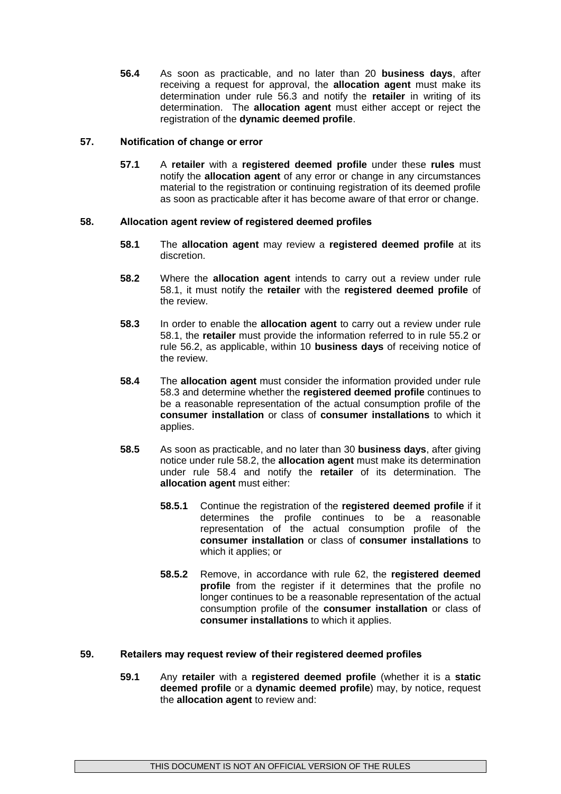**56.4** As soon as practicable, and no later than 20 **business days**, after receiving a request for approval, the **allocation agent** must make its determination under rule 56.3 and notify the **retailer** in writing of its determination. The **allocation agent** must either accept or reject the registration of the **dynamic deemed profile**.

### **57. Notification of change or error**

**57.1** A **retailer** with a **registered deemed profile** under these **rules** must notify the **allocation agent** of any error or change in any circumstances material to the registration or continuing registration of its deemed profile as soon as practicable after it has become aware of that error or change.

### **58. Allocation agent review of registered deemed profiles**

- **58.1** The **allocation agent** may review a **registered deemed profile** at its discretion.
- **58.2** Where the **allocation agent** intends to carry out a review under rule 58.1, it must notify the **retailer** with the **registered deemed profile** of the review.
- **58.3** In order to enable the **allocation agent** to carry out a review under rule 58.1, the **retailer** must provide the information referred to in rule 55.2 or rule 56.2, as applicable, within 10 **business days** of receiving notice of the review.
- **58.4** The **allocation agent** must consider the information provided under rule 58.3 and determine whether the **registered deemed profile** continues to be a reasonable representation of the actual consumption profile of the **consumer installation** or class of **consumer installations** to which it applies.
- **58.5** As soon as practicable, and no later than 30 **business days**, after giving notice under rule 58.2, the **allocation agent** must make its determination under rule 58.4 and notify the **retailer** of its determination. The **allocation agent** must either:
	- **58.5.1** Continue the registration of the **registered deemed profile** if it determines the profile continues to be a reasonable representation of the actual consumption profile of the **consumer installation** or class of **consumer installations** to which it applies; or
	- **58.5.2** Remove, in accordance with rule 62, the **registered deemed profile** from the register if it determines that the profile no longer continues to be a reasonable representation of the actual consumption profile of the **consumer installation** or class of **consumer installations** to which it applies.

### **59. Retailers may request review of their registered deemed profiles**

**59.1** Any **retailer** with a **registered deemed profile** (whether it is a **static deemed profile** or a **dynamic deemed profile**) may, by notice, request the **allocation agent** to review and: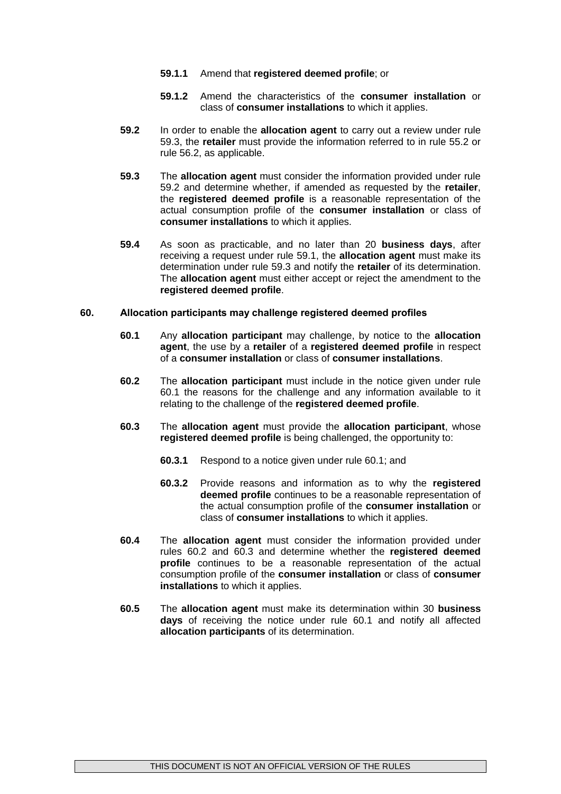- **59.1.1** Amend that **registered deemed profile**; or
- **59.1.2** Amend the characteristics of the **consumer installation** or class of **consumer installations** to which it applies.
- **59.2** In order to enable the **allocation agent** to carry out a review under rule 59.3, the **retailer** must provide the information referred to in rule 55.2 or rule 56.2, as applicable.
- **59.3** The **allocation agent** must consider the information provided under rule 59.2 and determine whether, if amended as requested by the **retailer**, the **registered deemed profile** is a reasonable representation of the actual consumption profile of the **consumer installation** or class of **consumer installations** to which it applies.
- **59.4** As soon as practicable, and no later than 20 **business days**, after receiving a request under rule 59.1, the **allocation agent** must make its determination under rule 59.3 and notify the **retailer** of its determination. The **allocation agent** must either accept or reject the amendment to the **registered deemed profile**.

#### **60. Allocation participants may challenge registered deemed profiles**

- **60.1** Any **allocation participant** may challenge, by notice to the **allocation agent**, the use by a **retailer** of a **registered deemed profile** in respect of a **consumer installation** or class of **consumer installations**.
- **60.2** The **allocation participant** must include in the notice given under rule 60.1 the reasons for the challenge and any information available to it relating to the challenge of the **registered deemed profile**.
- **60.3** The **allocation agent** must provide the **allocation participant**, whose **registered deemed profile** is being challenged, the opportunity to:
	- **60.3.1** Respond to a notice given under rule 60.1; and
	- **60.3.2** Provide reasons and information as to why the **registered deemed profile** continues to be a reasonable representation of the actual consumption profile of the **consumer installation** or class of **consumer installations** to which it applies.
- **60.4** The **allocation agent** must consider the information provided under rules 60.2 and 60.3 and determine whether the **registered deemed profile** continues to be a reasonable representation of the actual consumption profile of the **consumer installation** or class of **consumer installations** to which it applies.
- **60.5** The **allocation agent** must make its determination within 30 **business days** of receiving the notice under rule 60.1 and notify all affected **allocation participants** of its determination.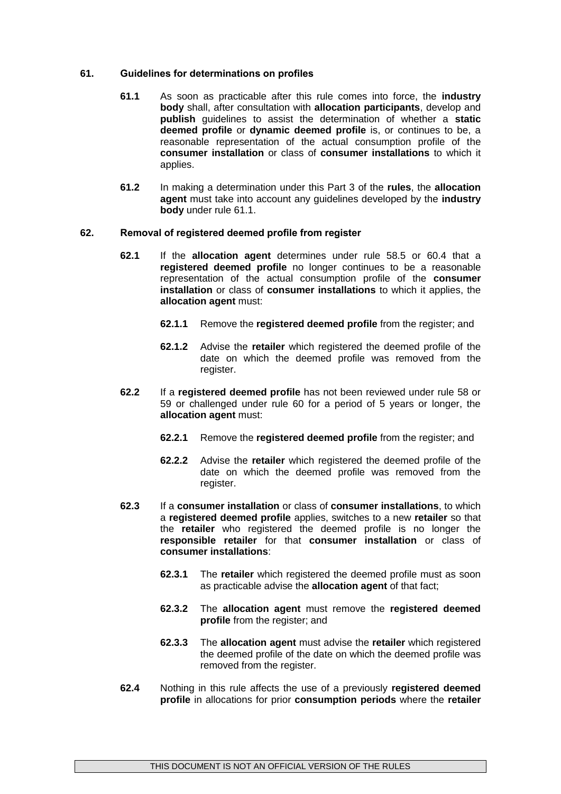### **61. Guidelines for determinations on profiles**

- **61.1** As soon as practicable after this rule comes into force, the **industry body** shall, after consultation with **allocation participants**, develop and **publish** guidelines to assist the determination of whether a **static deemed profile** or **dynamic deemed profile** is, or continues to be, a reasonable representation of the actual consumption profile of the **consumer installation** or class of **consumer installations** to which it applies.
- **61.2** In making a determination under this Part 3 of the **rules**, the **allocation agent** must take into account any guidelines developed by the **industry body** under rule 61.1.

#### **62. Removal of registered deemed profile from register**

- **62.1** If the **allocation agent** determines under rule 58.5 or 60.4 that a **registered deemed profile** no longer continues to be a reasonable representation of the actual consumption profile of the **consumer installation** or class of **consumer installations** to which it applies, the **allocation agent** must:
	- **62.1.1** Remove the **registered deemed profile** from the register; and
	- **62.1.2** Advise the **retailer** which registered the deemed profile of the date on which the deemed profile was removed from the register.
- **62.2** If a **registered deemed profile** has not been reviewed under rule 58 or 59 or challenged under rule 60 for a period of 5 years or longer, the **allocation agent** must:
	- **62.2.1** Remove the **registered deemed profile** from the register; and
	- **62.2.2** Advise the **retailer** which registered the deemed profile of the date on which the deemed profile was removed from the register.
- **62.3** If a **consumer installation** or class of **consumer installations**, to which a **registered deemed profile** applies, switches to a new **retailer** so that the **retailer** who registered the deemed profile is no longer the **responsible retailer** for that **consumer installation** or class of **consumer installations**:
	- **62.3.1** The **retailer** which registered the deemed profile must as soon as practicable advise the **allocation agent** of that fact;
	- **62.3.2** The **allocation agent** must remove the **registered deemed profile** from the register; and
	- **62.3.3** The **allocation agent** must advise the **retailer** which registered the deemed profile of the date on which the deemed profile was removed from the register.
- **62.4** Nothing in this rule affects the use of a previously **registered deemed profile** in allocations for prior **consumption periods** where the **retailer**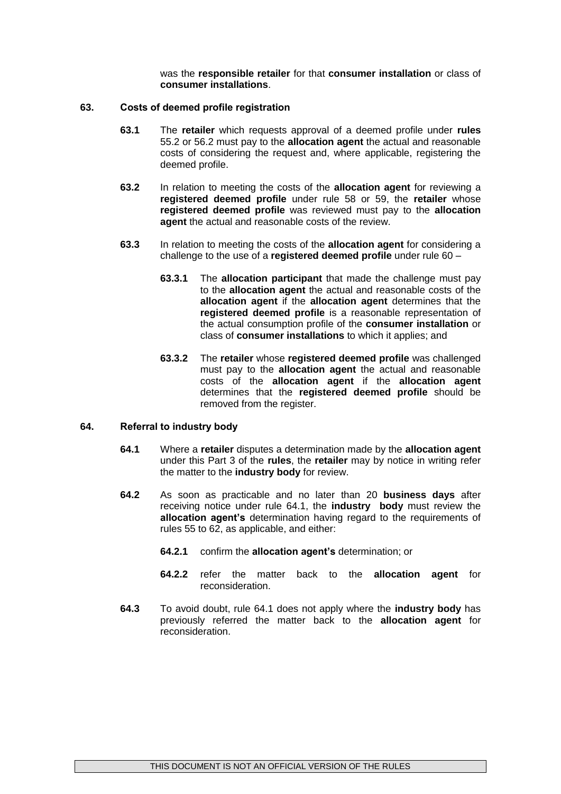was the **responsible retailer** for that **consumer installation** or class of **consumer installations**.

#### **63. Costs of deemed profile registration**

- **63.1** The **retailer** which requests approval of a deemed profile under **rules** 55.2 or 56.2 must pay to the **allocation agent** the actual and reasonable costs of considering the request and, where applicable, registering the deemed profile.
- **63.2** In relation to meeting the costs of the **allocation agent** for reviewing a **registered deemed profile** under rule 58 or 59, the **retailer** whose **registered deemed profile** was reviewed must pay to the **allocation agent** the actual and reasonable costs of the review.
- **63.3** In relation to meeting the costs of the **allocation agent** for considering a challenge to the use of a **registered deemed profile** under rule 60 –
	- **63.3.1** The **allocation participant** that made the challenge must pay to the **allocation agent** the actual and reasonable costs of the **allocation agent** if the **allocation agent** determines that the **registered deemed profile** is a reasonable representation of the actual consumption profile of the **consumer installation** or class of **consumer installations** to which it applies; and
	- **63.3.2** The **retailer** whose **registered deemed profile** was challenged must pay to the **allocation agent** the actual and reasonable costs of the **allocation agent** if the **allocation agent** determines that the **registered deemed profile** should be removed from the register.

### **64. Referral to industry body**

- **64.1** Where a **retailer** disputes a determination made by the **allocation agent** under this Part 3 of the **rules**, the **retailer** may by notice in writing refer the matter to the **industry body** for review.
- **64.2** As soon as practicable and no later than 20 **business days** after receiving notice under rule 64.1, the **industry body** must review the **allocation agent's** determination having regard to the requirements of rules 55 to 62, as applicable, and either:
	- **64.2.1** confirm the **allocation agent's** determination; or
	- **64.2.2** refer the matter back to the **allocation agent** for reconsideration.
- **64.3** To avoid doubt, rule 64.1 does not apply where the **industry body** has previously referred the matter back to the **allocation agent** for reconsideration.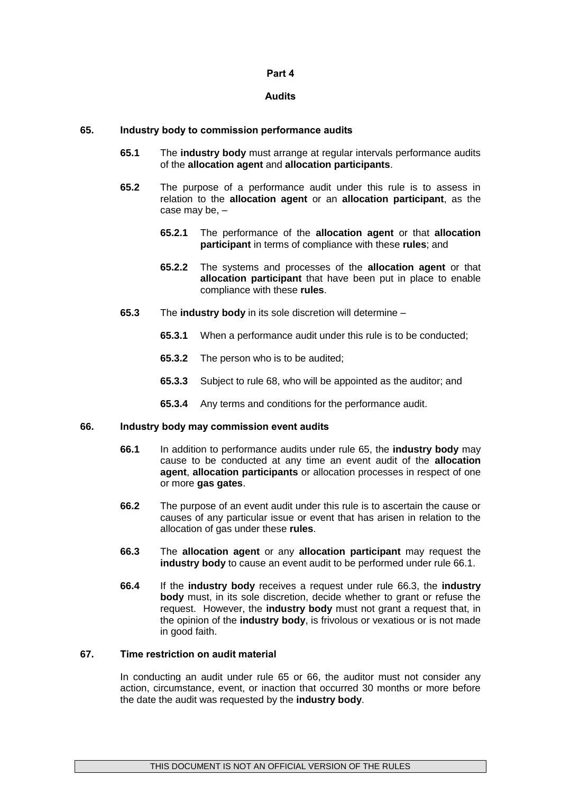#### **Part 4**

### **Audits**

### **65. Industry body to commission performance audits**

- **65.1** The **industry body** must arrange at regular intervals performance audits of the **allocation agent** and **allocation participants**.
- **65.2** The purpose of a performance audit under this rule is to assess in relation to the **allocation agent** or an **allocation participant**, as the case may be, –
	- **65.2.1** The performance of the **allocation agent** or that **allocation participant** in terms of compliance with these **rules**; and
	- **65.2.2** The systems and processes of the **allocation agent** or that **allocation participant** that have been put in place to enable compliance with these **rules**.
- **65.3** The **industry body** in its sole discretion will determine
	- **65.3.1** When a performance audit under this rule is to be conducted;
	- **65.3.2** The person who is to be audited;
	- **65.3.3** Subject to rule 68, who will be appointed as the auditor; and
	- **65.3.4** Any terms and conditions for the performance audit.

### **66. Industry body may commission event audits**

- **66.1** In addition to performance audits under rule 65, the **industry body** may cause to be conducted at any time an event audit of the **allocation agent**, **allocation participants** or allocation processes in respect of one or more **gas gates**.
- **66.2** The purpose of an event audit under this rule is to ascertain the cause or causes of any particular issue or event that has arisen in relation to the allocation of gas under these **rules**.
- **66.3** The **allocation agent** or any **allocation participant** may request the **industry body** to cause an event audit to be performed under rule 66.1.
- **66.4** If the **industry body** receives a request under rule 66.3, the **industry body** must, in its sole discretion, decide whether to grant or refuse the request. However, the **industry body** must not grant a request that, in the opinion of the **industry body**, is frivolous or vexatious or is not made in good faith.

#### **67. Time restriction on audit material**

In conducting an audit under rule 65 or 66, the auditor must not consider any action, circumstance, event, or inaction that occurred 30 months or more before the date the audit was requested by the **industry body**.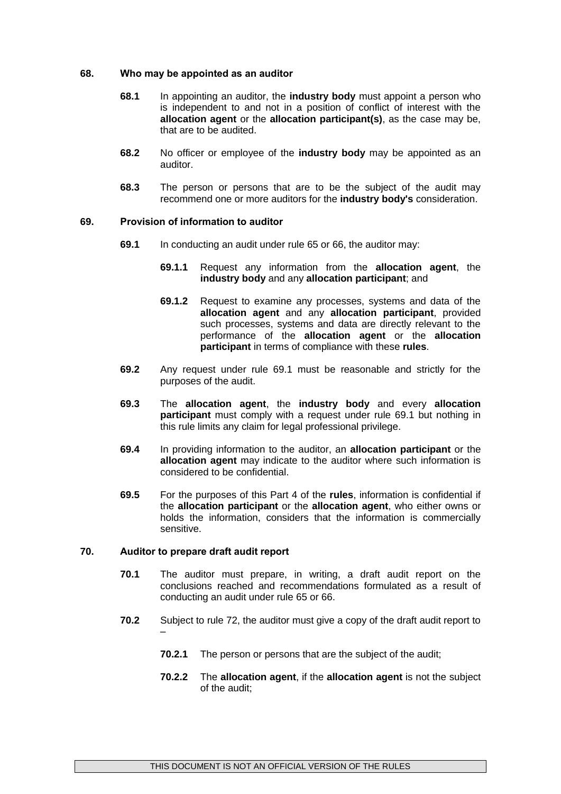### **68. Who may be appointed as an auditor**

- **68.1** In appointing an auditor, the **industry body** must appoint a person who is independent to and not in a position of conflict of interest with the **allocation agent** or the **allocation participant(s)**, as the case may be, that are to be audited.
- **68.2** No officer or employee of the **industry body** may be appointed as an auditor.
- **68.3** The person or persons that are to be the subject of the audit may recommend one or more auditors for the **industry body's** consideration.

#### **69. Provision of information to auditor**

- **69.1** In conducting an audit under rule 65 or 66, the auditor may:
	- **69.1.1** Request any information from the **allocation agent**, the **industry body** and any **allocation participant**; and
	- **69.1.2** Request to examine any processes, systems and data of the **allocation agent** and any **allocation participant**, provided such processes, systems and data are directly relevant to the performance of the **allocation agent** or the **allocation participant** in terms of compliance with these **rules**.
- **69.2** Any request under rule 69.1 must be reasonable and strictly for the purposes of the audit.
- **69.3** The **allocation agent**, the **industry body** and every **allocation participant** must comply with a request under rule 69.1 but nothing in this rule limits any claim for legal professional privilege.
- **69.4** In providing information to the auditor, an **allocation participant** or the **allocation agent** may indicate to the auditor where such information is considered to be confidential.
- **69.5** For the purposes of this Part 4 of the **rules**, information is confidential if the **allocation participant** or the **allocation agent**, who either owns or holds the information, considers that the information is commercially sensitive.

#### **70. Auditor to prepare draft audit report**

- **70.1** The auditor must prepare, in writing, a draft audit report on the conclusions reached and recommendations formulated as a result of conducting an audit under rule 65 or 66.
- **70.2** Subject to rule 72, the auditor must give a copy of the draft audit report to –
	- **70.2.1** The person or persons that are the subject of the audit;
	- **70.2.2** The **allocation agent**, if the **allocation agent** is not the subject of the audit;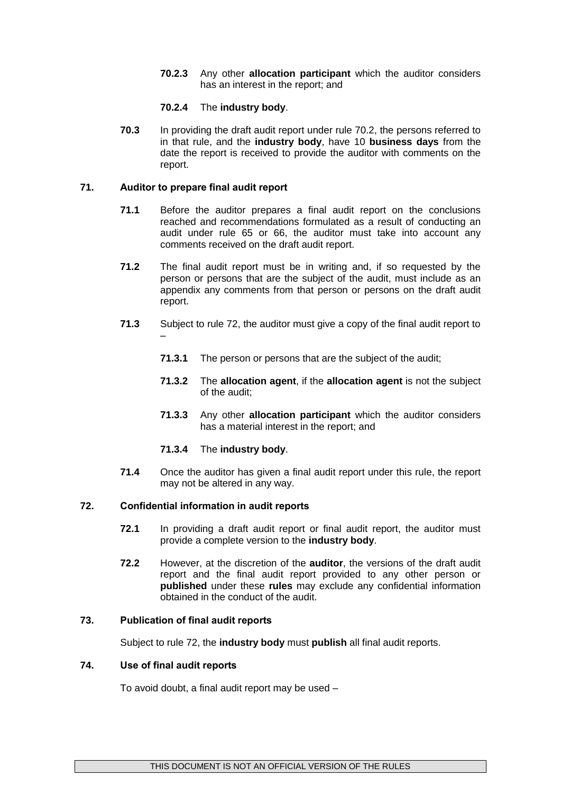**70.2.3** Any other **allocation participant** which the auditor considers has an interest in the report; and

### **70.2.4** The **industry body**.

**70.3** In providing the draft audit report under rule 70.2, the persons referred to in that rule, and the **industry body**, have 10 **business days** from the date the report is received to provide the auditor with comments on the report.

### **71. Auditor to prepare final audit report**

- **71.1** Before the auditor prepares a final audit report on the conclusions reached and recommendations formulated as a result of conducting an audit under rule 65 or 66, the auditor must take into account any comments received on the draft audit report.
- **71.2** The final audit report must be in writing and, if so requested by the person or persons that are the subject of the audit, must include as an appendix any comments from that person or persons on the draft audit report.
- **71.3** Subject to rule 72, the auditor must give a copy of the final audit report to –
	- **71.3.1** The person or persons that are the subject of the audit;
	- **71.3.2** The **allocation agent**, if the **allocation agent** is not the subject of the audit;
	- **71.3.3** Any other **allocation participant** which the auditor considers has a material interest in the report; and
	- **71.3.4** The **industry body**.
- **71.4** Once the auditor has given a final audit report under this rule, the report may not be altered in any way.

### **72. Confidential information in audit reports**

- **72.1** In providing a draft audit report or final audit report, the auditor must provide a complete version to the **industry body**.
- **72.2** However, at the discretion of the **auditor**, the versions of the draft audit report and the final audit report provided to any other person or **published** under these **rules** may exclude any confidential information obtained in the conduct of the audit.

### **73. Publication of final audit reports**

Subject to rule 72, the **industry body** must **publish** all final audit reports.

### **74. Use of final audit reports**

To avoid doubt, a final audit report may be used –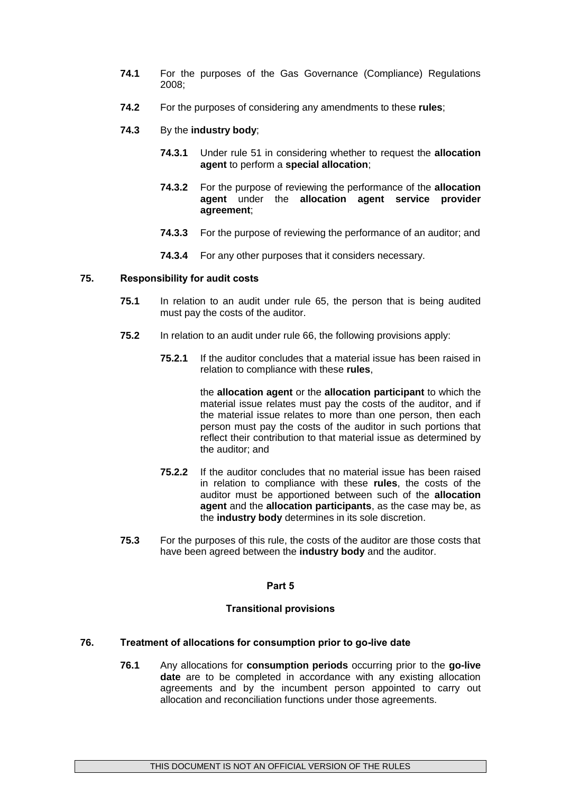- **74.1** For the purposes of the Gas Governance (Compliance) Regulations 2008;
- **74.2** For the purposes of considering any amendments to these **rules**;
- **74.3** By the **industry body**;
	- **74.3.1** Under rule 51 in considering whether to request the **allocation agent** to perform a **special allocation**;
	- **74.3.2** For the purpose of reviewing the performance of the **allocation agent** under the **allocation agent service provider agreement**;
	- **74.3.3** For the purpose of reviewing the performance of an auditor; and
	- **74.3.4** For any other purposes that it considers necessary.

### **75. Responsibility for audit costs**

- **75.1** In relation to an audit under rule 65, the person that is being audited must pay the costs of the auditor.
- **75.2** In relation to an audit under rule 66, the following provisions apply:
	- **75.2.1** If the auditor concludes that a material issue has been raised in relation to compliance with these **rules**,

the **allocation agent** or the **allocation participant** to which the material issue relates must pay the costs of the auditor, and if the material issue relates to more than one person, then each person must pay the costs of the auditor in such portions that reflect their contribution to that material issue as determined by the auditor; and

- **75.2.2** If the auditor concludes that no material issue has been raised in relation to compliance with these **rules**, the costs of the auditor must be apportioned between such of the **allocation agent** and the **allocation participants**, as the case may be, as the **industry body** determines in its sole discretion.
- **75.3** For the purposes of this rule, the costs of the auditor are those costs that have been agreed between the **industry body** and the auditor.

#### **Part 5**

### **Transitional provisions**

### **76. Treatment of allocations for consumption prior to go-live date**

**76.1** Any allocations for **consumption periods** occurring prior to the **go-live date** are to be completed in accordance with any existing allocation agreements and by the incumbent person appointed to carry out allocation and reconciliation functions under those agreements.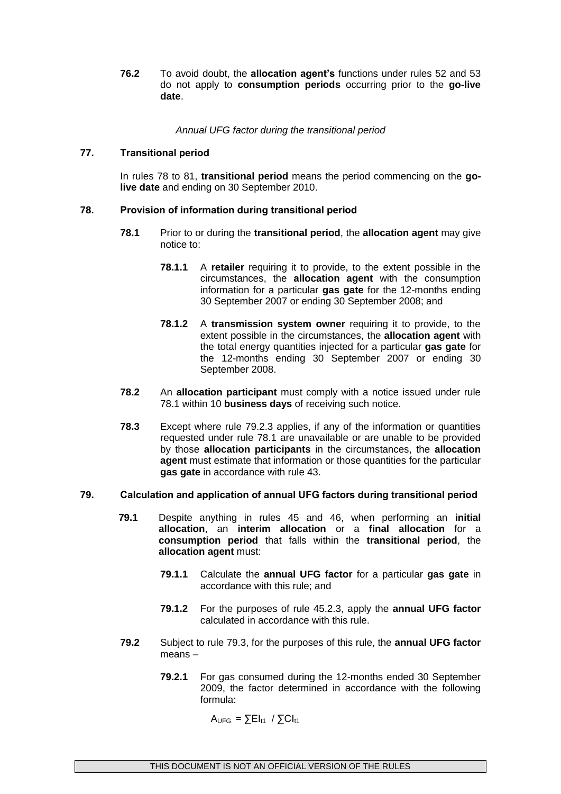**76.2** To avoid doubt, the **allocation agent's** functions under rules 52 and 53 do not apply to **consumption periods** occurring prior to the **go-live date**.

*Annual UFG factor during the transitional period*

### **77. Transitional period**

In rules 78 to 81, **transitional period** means the period commencing on the **golive date** and ending on 30 September 2010.

### **78. Provision of information during transitional period**

- **78.1** Prior to or during the **transitional period**, the **allocation agent** may give notice to:
	- **78.1.1** A **retailer** requiring it to provide, to the extent possible in the circumstances, the **allocation agent** with the consumption information for a particular **gas gate** for the 12-months ending 30 September 2007 or ending 30 September 2008; and
	- **78.1.2** A **transmission system owner** requiring it to provide, to the extent possible in the circumstances, the **allocation agent** with the total energy quantities injected for a particular **gas gate** for the 12-months ending 30 September 2007 or ending 30 September 2008.
- **78.2** An **allocation participant** must comply with a notice issued under rule 78.1 within 10 **business days** of receiving such notice.
- **78.3** Except where rule 79.2.3 applies, if any of the information or quantities requested under rule 78.1 are unavailable or are unable to be provided by those **allocation participants** in the circumstances, the **allocation agent** must estimate that information or those quantities for the particular **gas gate** in accordance with rule 43.

#### **79. Calculation and application of annual UFG factors during transitional period**

- **79.1** Despite anything in rules 45 and 46, when performing an **initial allocation**, an **interim allocation** or a **final allocation** for a **consumption period** that falls within the **transitional period**, the **allocation agent** must:
	- **79.1.1** Calculate the **annual UFG factor** for a particular **gas gate** in accordance with this rule; and
	- **79.1.2** For the purposes of rule 45.2.3, apply the **annual UFG factor** calculated in accordance with this rule.
- **79.2** Subject to rule 79.3, for the purposes of this rule, the **annual UFG factor** means –
	- **79.2.1** For gas consumed during the 12-months ended 30 September 2009, the factor determined in accordance with the following formula:

 $A_{UFG} = \sum E I_{t1} / \sum C I_{t1}$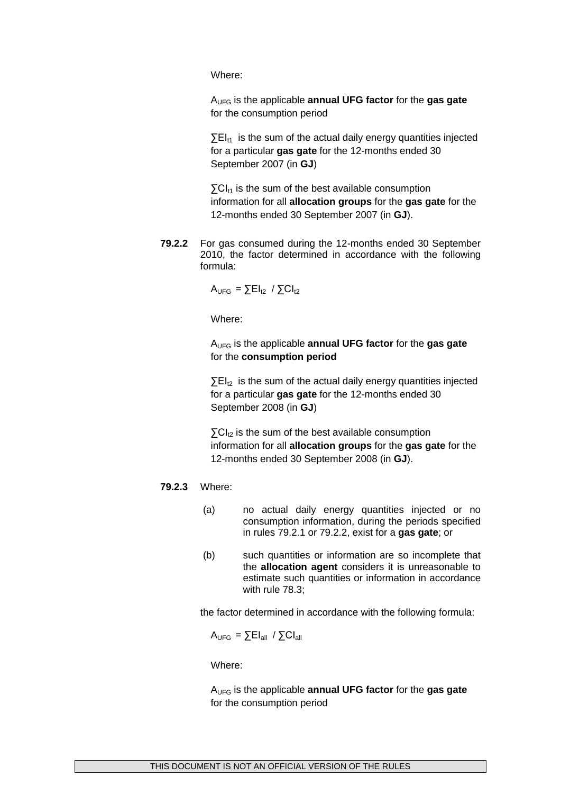Where:

AUFG is the applicable **annual UFG factor** for the **gas gate**  for the consumption period

 $\Sigma$ EI<sub>t1</sub> is the sum of the actual daily energy quantities injected for a particular **gas gate** for the 12-months ended 30 September 2007 (in **GJ**)

 $\Sigma$ CI<sub>t1</sub> is the sum of the best available consumption information for all **allocation groups** for the **gas gate** for the 12-months ended 30 September 2007 (in **GJ**).

**79.2.2** For gas consumed during the 12-months ended 30 September 2010, the factor determined in accordance with the following formula:

$$
A_{\text{UFG}} = \sum E I_{t2} / \sum C I_{t2}
$$

Where:

AUFG is the applicable **annual UFG factor** for the **gas gate**  for the **consumption period**

 $\Sigma$ EI<sub>t2</sub> is the sum of the actual daily energy quantities injected for a particular **gas gate** for the 12-months ended 30 September 2008 (in **GJ**)

 $\Sigma$ CI<sub>t2</sub> is the sum of the best available consumption information for all **allocation groups** for the **gas gate** for the 12-months ended 30 September 2008 (in **GJ**).

### **79.2.3** Where:

- (a) no actual daily energy quantities injected or no consumption information, during the periods specified in rules 79.2.1 or 79.2.2, exist for a **gas gate**; or
- (b) such quantities or information are so incomplete that the **allocation agent** considers it is unreasonable to estimate such quantities or information in accordance with rule 78.3;

the factor determined in accordance with the following formula:

 $A_{\text{UEG}}$  =  $\sum EI_{\text{all}}$  /  $\sum CI_{\text{all}}$ 

Where:

AUFG is the applicable **annual UFG factor** for the **gas gate**  for the consumption period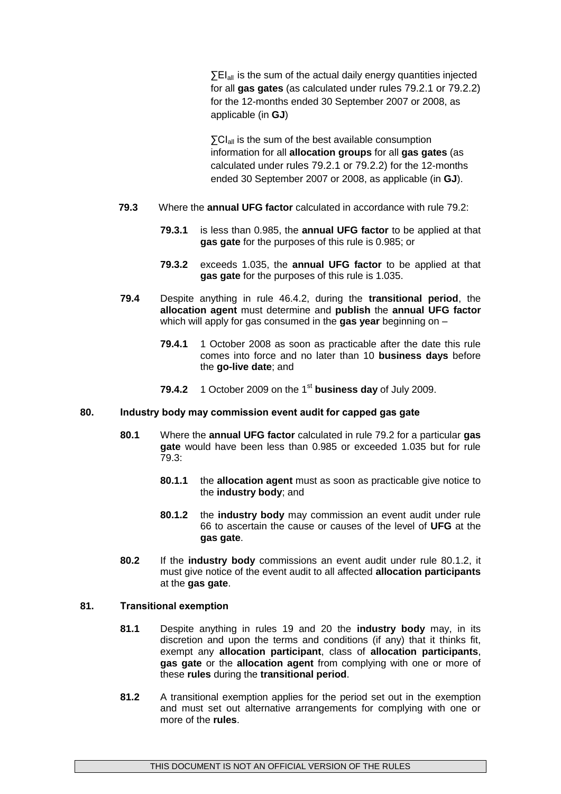∑EI<sub>all</sub> is the sum of the actual daily energy quantities injected for all **gas gates** (as calculated under rules 79.2.1 or 79.2.2) for the 12-months ended 30 September 2007 or 2008, as applicable (in **GJ**)

 $\sum C I_{all}$  is the sum of the best available consumption information for all **allocation groups** for all **gas gates** (as calculated under rules 79.2.1 or 79.2.2) for the 12-months ended 30 September 2007 or 2008, as applicable (in **GJ**).

- **79.3** Where the **annual UFG factor** calculated in accordance with rule 79.2:
	- **79.3.1** is less than 0.985, the **annual UFG factor** to be applied at that **gas gate** for the purposes of this rule is 0.985; or
	- **79.3.2** exceeds 1.035, the **annual UFG factor** to be applied at that **gas gate** for the purposes of this rule is 1.035.
- **79.4** Despite anything in rule 46.4.2, during the **transitional period**, the **allocation agent** must determine and **publish** the **annual UFG factor** which will apply for gas consumed in the **gas year** beginning on –
	- **79.4.1** 1 October 2008 as soon as practicable after the date this rule comes into force and no later than 10 **business days** before the **go-live date**; and
	- **79.4.2** 1 October 2009 on the 1<sup>st</sup> business day of July 2009.

### **80. Industry body may commission event audit for capped gas gate**

- **80.1** Where the **annual UFG factor** calculated in rule 79.2 for a particular **gas gate** would have been less than 0.985 or exceeded 1.035 but for rule 79.3:
	- **80.1.1** the **allocation agent** must as soon as practicable give notice to the **industry body**; and
	- **80.1.2** the **industry body** may commission an event audit under rule 66 to ascertain the cause or causes of the level of **UFG** at the **gas gate**.
- **80.2** If the **industry body** commissions an event audit under rule 80.1.2, it must give notice of the event audit to all affected **allocation participants** at the **gas gate**.

#### **81. Transitional exemption**

- **81.1** Despite anything in rules 19 and 20 the **industry body** may, in its discretion and upon the terms and conditions (if any) that it thinks fit, exempt any **allocation participant**, class of **allocation participants**, **gas gate** or the **allocation agent** from complying with one or more of these **rules** during the **transitional period**.
- **81.2** A transitional exemption applies for the period set out in the exemption and must set out alternative arrangements for complying with one or more of the **rules**.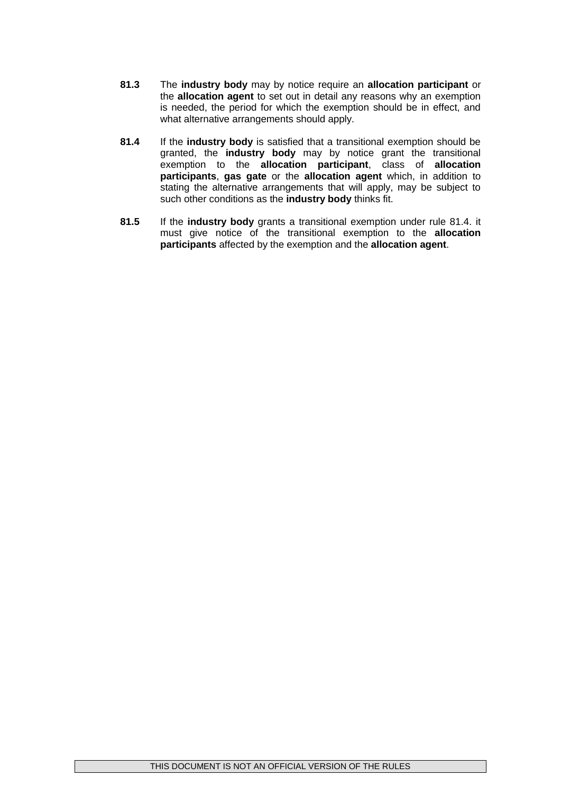- **81.3** The **industry body** may by notice require an **allocation participant** or the **allocation agent** to set out in detail any reasons why an exemption is needed, the period for which the exemption should be in effect, and what alternative arrangements should apply.
- **81.4** If the **industry body** is satisfied that a transitional exemption should be granted, the **industry body** may by notice grant the transitional exemption to the **allocation participant**, class of **allocation participants**, **gas gate** or the **allocation agent** which, in addition to stating the alternative arrangements that will apply, may be subject to such other conditions as the **industry body** thinks fit.
- **81.5** If the **industry body** grants a transitional exemption under rule 81.4. it must give notice of the transitional exemption to the **allocation participants** affected by the exemption and the **allocation agent**.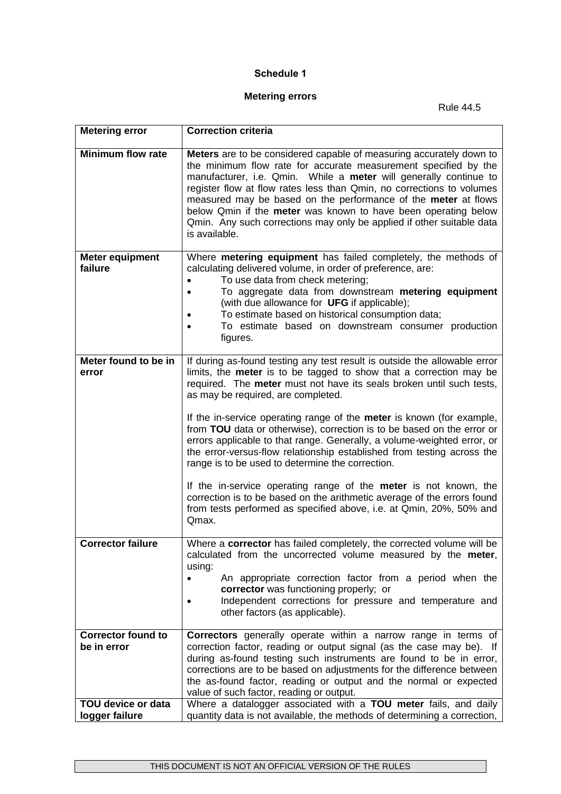# **Schedule 1**

# **Metering errors**

Rule 44.5

| <b>Metering error</b>             | <b>Correction criteria</b>                                                                                                                                                                                                                                                                                                                                                                                                                                                                                                |
|-----------------------------------|---------------------------------------------------------------------------------------------------------------------------------------------------------------------------------------------------------------------------------------------------------------------------------------------------------------------------------------------------------------------------------------------------------------------------------------------------------------------------------------------------------------------------|
| <b>Minimum flow rate</b>          | <b>Meters</b> are to be considered capable of measuring accurately down to<br>the minimum flow rate for accurate measurement specified by the<br>manufacturer, i.e. Qmin. While a meter will generally continue to<br>register flow at flow rates less than Qmin, no corrections to volumes<br>measured may be based on the performance of the meter at flows<br>below Qmin if the meter was known to have been operating below<br>Qmin. Any such corrections may only be applied if other suitable data<br>is available. |
| <b>Meter equipment</b><br>failure | Where metering equipment has failed completely, the methods of<br>calculating delivered volume, in order of preference, are:<br>To use data from check metering;<br>$\bullet$<br>To aggregate data from downstream metering equipment<br>$\bullet$<br>(with due allowance for UFG if applicable);<br>To estimate based on historical consumption data;                                                                                                                                                                    |
|                                   | To estimate based on downstream consumer production<br>figures.                                                                                                                                                                                                                                                                                                                                                                                                                                                           |
| Meter found to be in<br>error     | If during as-found testing any test result is outside the allowable error<br>limits, the meter is to be tagged to show that a correction may be<br>required. The meter must not have its seals broken until such tests,<br>as may be required, are completed.<br>If the in-service operating range of the meter is known (for example,                                                                                                                                                                                    |
|                                   | from TOU data or otherwise), correction is to be based on the error or<br>errors applicable to that range. Generally, a volume-weighted error, or<br>the error-versus-flow relationship established from testing across the<br>range is to be used to determine the correction.                                                                                                                                                                                                                                           |
|                                   | If the in-service operating range of the <b>meter</b> is not known, the<br>correction is to be based on the arithmetic average of the errors found<br>from tests performed as specified above, i.e. at Qmin, 20%, 50% and<br>Qmax.                                                                                                                                                                                                                                                                                        |
| <b>Corrector failure</b>          | Where a corrector has failed completely, the corrected volume will be<br>calculated from the uncorrected volume measured by the meter,                                                                                                                                                                                                                                                                                                                                                                                    |
|                                   | using:<br>An appropriate correction factor from a period when the<br>corrector was functioning properly; or                                                                                                                                                                                                                                                                                                                                                                                                               |
|                                   | Independent corrections for pressure and temperature and<br>other factors (as applicable).                                                                                                                                                                                                                                                                                                                                                                                                                                |
| <b>Corrector found to</b>         | <b>Correctors</b> generally operate within a narrow range in terms of                                                                                                                                                                                                                                                                                                                                                                                                                                                     |
| be in error                       | correction factor, reading or output signal (as the case may be). If<br>during as-found testing such instruments are found to be in error,                                                                                                                                                                                                                                                                                                                                                                                |
|                                   | corrections are to be based on adjustments for the difference between                                                                                                                                                                                                                                                                                                                                                                                                                                                     |
|                                   | the as-found factor, reading or output and the normal or expected<br>value of such factor, reading or output.                                                                                                                                                                                                                                                                                                                                                                                                             |
| <b>TOU device or data</b>         | Where a datalogger associated with a TOU meter fails, and daily                                                                                                                                                                                                                                                                                                                                                                                                                                                           |
| logger failure                    | quantity data is not available, the methods of determining a correction,                                                                                                                                                                                                                                                                                                                                                                                                                                                  |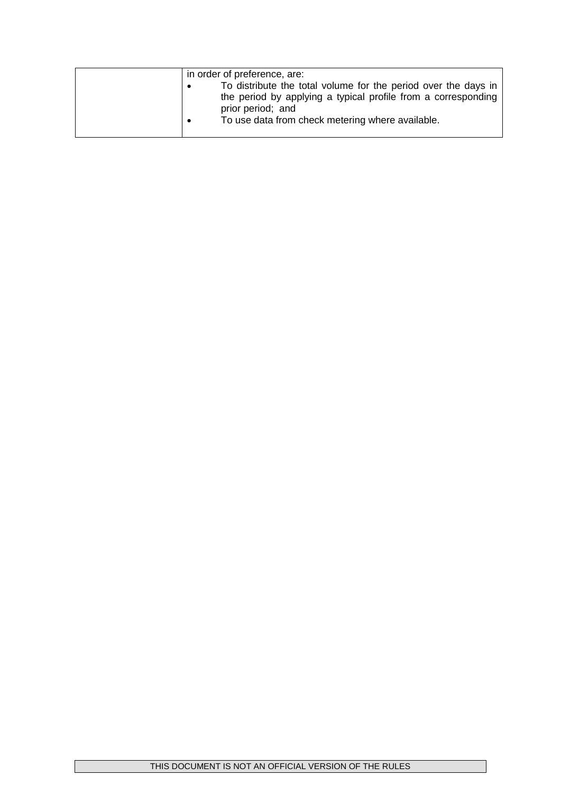| in order of preference, are:                                                                                                                         |
|------------------------------------------------------------------------------------------------------------------------------------------------------|
| To distribute the total volume for the period over the days in<br>the period by applying a typical profile from a corresponding<br>prior period; and |
| To use data from check metering where available.                                                                                                     |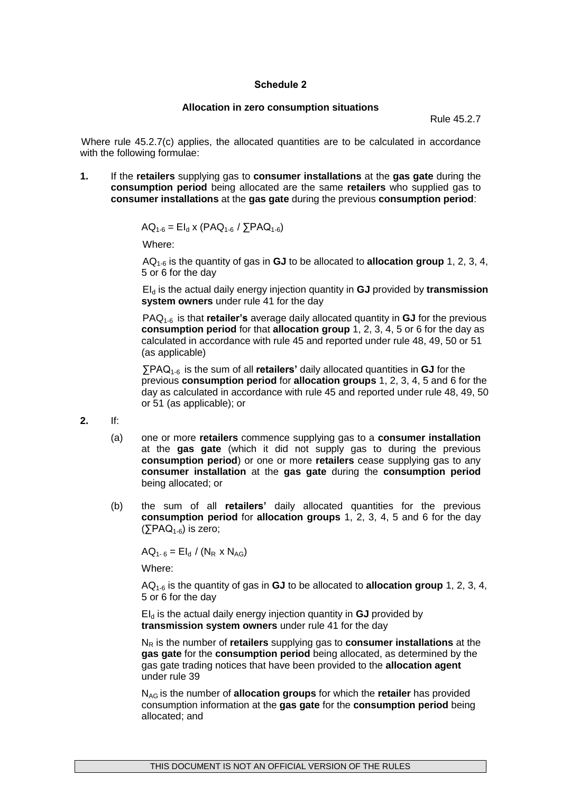### **Schedule 2**

#### **Allocation in zero consumption situations**

Rule 45.2.7

Where rule 45.2.7(c) applies, the allocated quantities are to be calculated in accordance with the following formulae:

**1.** If the **retailers** supplying gas to **consumer installations** at the **gas gate** during the **consumption period** being allocated are the same **retailers** who supplied gas to **consumer installations** at the **gas gate** during the previous **consumption period**:

$$
AQ_{1-6} = El_{d} \times (PAQ_{1-6} / \sum PAQ_{1-6})
$$

Where:

AQ1-6 is the quantity of gas in **GJ** to be allocated to **allocation group** 1, 2, 3, 4, 5 or 6 for the day

EI<sup>d</sup> is the actual daily energy injection quantity in **GJ** provided by **transmission system owners** under rule 41 for the day

PAQ1-6 is that **retailer's** average daily allocated quantity in **GJ** for the previous **consumption period** for that **allocation group** 1, 2, 3, 4, 5 or 6 for the day as calculated in accordance with rule 45 and reported under rule 48, 49, 50 or 51 (as applicable)

∑PAQ<sub>1-6</sub> is the sum of all **retailers'** daily allocated quantities in **GJ** for the previous **consumption period** for **allocation groups** 1, 2, 3, 4, 5 and 6 for the day as calculated in accordance with rule 45 and reported under rule 48, 49, 50 or 51 (as applicable); or

**2.** If:

- (a) one or more **retailers** commence supplying gas to a **consumer installation** at the **gas gate** (which it did not supply gas to during the previous **consumption period**) or one or more **retailers** cease supplying gas to any **consumer installation** at the **gas gate** during the **consumption period** being allocated; or
- (b) the sum of all **retailers'** daily allocated quantities for the previous **consumption period** for **allocation groups** 1, 2, 3, 4, 5 and 6 for the day  $($  $\overline{\smash{\bigtriangledown}}$ PAQ<sub>1-6</sub> $\smash{\bigtriangledown}}$  is zero;

 $AQ_{1-6} = El_{d} / (N_{R} \times N_{AG})$ 

Where:

AQ1-6 is the quantity of gas in **GJ** to be allocated to **allocation group** 1, 2, 3, 4, 5 or 6 for the day

 $EI<sub>d</sub>$  is the actual daily energy injection quantity in  $GJ$  provided by **transmission system owners** under rule 41 for the day

N<sup>R</sup> is the number of **retailers** supplying gas to **consumer installations** at the **gas gate** for the **consumption period** being allocated, as determined by the gas gate trading notices that have been provided to the **allocation agent** under rule 39

NAG is the number of **allocation groups** for which the **retailer** has provided consumption information at the **gas gate** for the **consumption period** being allocated; and